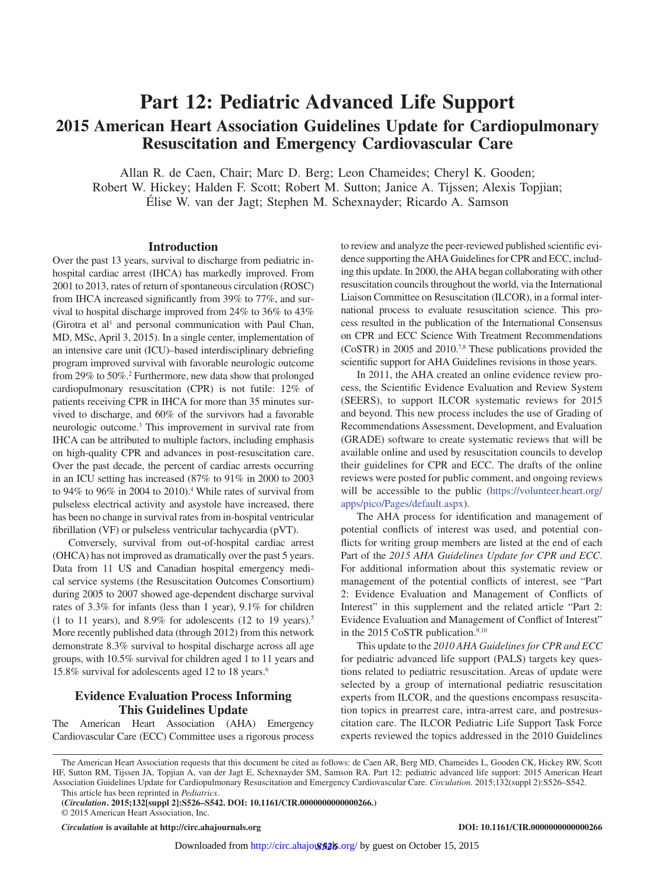# **Part 12: Pediatric Advanced Life Support 2015 American Heart Association Guidelines Update for Cardiopulmonary Resuscitation and Emergency Cardiovascular Care**

Allan R. de Caen, Chair; Marc D. Berg; Leon Chameides; Cheryl K. Gooden; Robert W. Hickey; Halden F. Scott; Robert M. Sutton; Janice A. Tijssen; Alexis Topjian; Élise W. van der Jagt; Stephen M. Schexnayder; Ricardo A. Samson

## **Introduction**

Over the past 13 years, survival to discharge from pediatric inhospital cardiac arrest (IHCA) has markedly improved. From 2001 to 2013, rates of return of spontaneous circulation (ROSC) from IHCA increased significantly from 39% to 77%, and survival to hospital discharge improved from 24% to 36% to 43% (Girotra et al<sup>1</sup> and personal communication with Paul Chan, MD, MSc, April 3, 2015). In a single center, implementation of an intensive care unit (ICU)–based interdisciplinary debriefing program improved survival with favorable neurologic outcome from 29% to 50%.2 Furthermore, new data show that prolonged cardiopulmonary resuscitation (CPR) is not futile: 12% of patients receiving CPR in IHCA for more than 35 minutes survived to discharge, and 60% of the survivors had a favorable neurologic outcome.3 This improvement in survival rate from IHCA can be attributed to multiple factors, including emphasis on high-quality CPR and advances in post-resuscitation care. Over the past decade, the percent of cardiac arrests occurring in an ICU setting has increased (87% to 91% in 2000 to 2003 to 94% to 96% in 2004 to 2010).4 While rates of survival from pulseless electrical activity and asystole have increased, there has been no change in survival rates from in-hospital ventricular fibrillation (VF) or pulseless ventricular tachycardia (pVT).

Conversely, survival from out-of-hospital cardiac arrest (OHCA) has not improved as dramatically over the past 5 years. Data from 11 US and Canadian hospital emergency medical service systems (the Resuscitation Outcomes Consortium) during 2005 to 2007 showed age-dependent discharge survival rates of 3.3% for infants (less than 1 year), 9.1% for children (1 to 11 years), and  $8.9\%$  for adolescents (12 to 19 years).<sup>5</sup> More recently published data (through 2012) from this network demonstrate 8.3% survival to hospital discharge across all age groups, with 10.5% survival for children aged 1 to 11 years and 15.8% survival for adolescents aged 12 to 18 years.6

## **Evidence Evaluation Process Informing This Guidelines Update**

The American Heart Association (AHA) Emergency Cardiovascular Care (ECC) Committee uses a rigorous process to review and analyze the peer-reviewed published scientific evidence supporting the AHA Guidelines for CPR and ECC, including this update. In 2000, the AHA began collaborating with other resuscitation councils throughout the world, via the International Liaison Committee on Resuscitation (ILCOR), in a formal international process to evaluate resuscitation science. This process resulted in the publication of the International Consensus on CPR and ECC Science With Treatment Recommendations (CoSTR) in 2005 and 2010.7,8 These publications provided the scientific support for AHA Guidelines revisions in those years.

In 2011, the AHA created an online evidence review process, the Scientific Evidence Evaluation and Review System (SEERS), to support ILCOR systematic reviews for 2015 and beyond. This new process includes the use of Grading of Recommendations Assessment, Development, and Evaluation (GRADE) software to create systematic reviews that will be available online and used by resuscitation councils to develop their guidelines for CPR and ECC. The drafts of the online reviews were posted for public comment, and ongoing reviews will be accessible to the public ([https://volunteer.heart.org/](https://volunteer.heart.org/apps/pico/Pages/default.aspx) [apps/pico/Pages/default.aspx\)](https://volunteer.heart.org/apps/pico/Pages/default.aspx).

The AHA process for identification and management of potential conflicts of interest was used, and potential conflicts for writing group members are listed at the end of each Part of the *2015 AHA Guidelines Update for CPR and ECC*. For additional information about this systematic review or management of the potential conflicts of interest, see "Part 2: Evidence Evaluation and Management of Conflicts of Interest" in this supplement and the related article "Part 2: Evidence Evaluation and Management of Conflict of Interest" in the 2015 CoSTR publication.<sup>9,10</sup>

This update to the *2010 AHA Guidelines for CPR and ECC* for pediatric advanced life support (PALS) targets key questions related to pediatric resuscitation. Areas of update were selected by a group of international pediatric resuscitation experts from ILCOR, and the questions encompass resuscitation topics in prearrest care, intra-arrest care, and postresuscitation care. The ILCOR Pediatric Life Support Task Force experts reviewed the topics addressed in the 2010 Guidelines

The American Heart Association requests that this document be cited as follows: de Caen AR, Berg MD, Chameides L, Gooden CK, Hickey RW, Scott HF, Sutton RM, Tijssen JA, Topjian A, van der Jagt E, Schexnayder SM, Samson RA. Part 12: pediatric advanced life support: 2015 American Heart Association Guidelines Update for Cardiopulmonary Resuscitation and Emergency Cardiovascular Care. *Circulation.* 2015;132(suppl 2):S526–S542. This article has been reprinted in *Pediatrics*.

*Circulation* **is available at http://circ.ahajournals.org DOI: 10.1161/CIR.0000000000000266**

**<sup>(</sup>***Circulation***. 2015;132[suppl 2]:S526–S542. DOI: 10.1161/CIR.0000000000000266.)**

<sup>© 2015</sup> American Heart Association, Inc.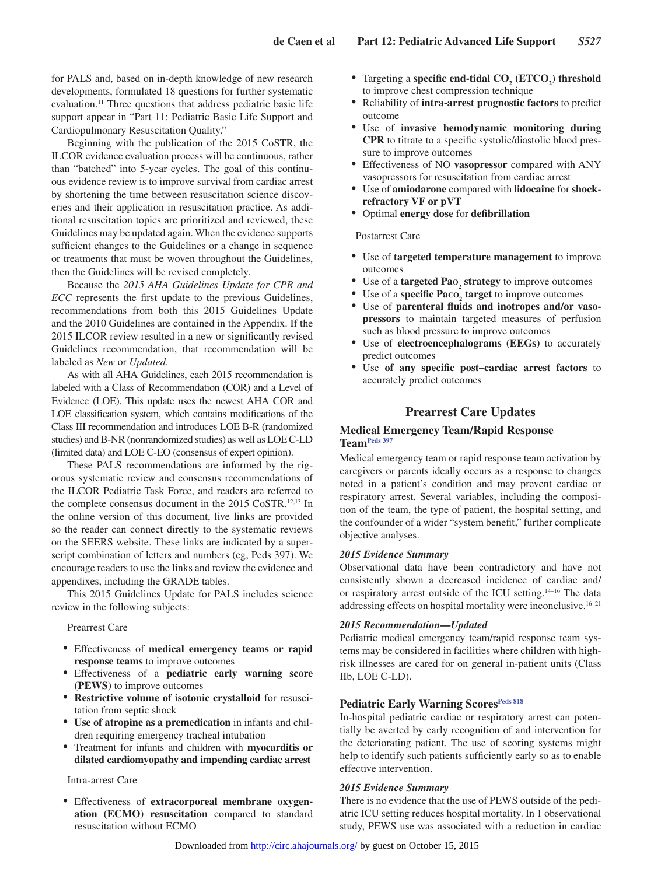for PALS and, based on in-depth knowledge of new research developments, formulated 18 questions for further systematic evaluation.<sup>11</sup> Three questions that address pediatric basic life support appear in "Part 11: Pediatric Basic Life Support and Cardiopulmonary Resuscitation Quality."

Beginning with the publication of the 2015 CoSTR, the ILCOR evidence evaluation process will be continuous, rather than "batched" into 5-year cycles. The goal of this continuous evidence review is to improve survival from cardiac arrest by shortening the time between resuscitation science discoveries and their application in resuscitation practice. As additional resuscitation topics are prioritized and reviewed, these Guidelines may be updated again. When the evidence supports sufficient changes to the Guidelines or a change in sequence or treatments that must be woven throughout the Guidelines, then the Guidelines will be revised completely.

Because the *2015 AHA Guidelines Update for CPR and ECC* represents the first update to the previous Guidelines, recommendations from both this 2015 Guidelines Update and the 2010 Guidelines are contained in the Appendix. If the 2015 ILCOR review resulted in a new or significantly revised Guidelines recommendation, that recommendation will be labeled as *New* or *Updated*.

As with all AHA Guidelines, each 2015 recommendation is labeled with a Class of Recommendation (COR) and a Level of Evidence (LOE). This update uses the newest AHA COR and LOE classification system, which contains modifications of the Class III recommendation and introduces LOE B-R (randomized studies) and B-NR (nonrandomized studies) as well as LOE C-LD (limited data) and LOE C-EO (consensus of expert opinion).

These PALS recommendations are informed by the rigorous systematic review and consensus recommendations of the ILCOR Pediatric Task Force, and readers are referred to the complete consensus document in the 2015 CoSTR.<sup>12,13</sup> In the online version of this document, live links are provided so the reader can connect directly to the systematic reviews on the SEERS website. These links are indicated by a superscript combination of letters and numbers (eg, Peds 397). We encourage readers to use the links and review the evidence and appendixes, including the GRADE tables.

This 2015 Guidelines Update for PALS includes science review in the following subjects:

#### Prearrest Care

- • Effectiveness of **medical emergency teams or rapid response teams** to improve outcomes
- • Effectiveness of a **pediatric early warning score (PEWS)** to improve outcomes
- • **Restrictive volume of isotonic crystalloid** for resuscitation from septic shock
- • **Use of atropine as a premedication** in infants and children requiring emergency tracheal intubation
- • Treatment for infants and children with **myocarditis or dilated cardiomyopathy and impending cardiac arrest**

#### Intra-arrest Care

Effectiveness of extracorporeal membrane oxygen**ation (ECMO) resuscitation** compared to standard resuscitation without ECMO

- Targeting a **specific end-tidal CO<sub>2</sub>** (ETCO<sub>2</sub>) threshold to improve chest compression technique
- • Reliability of **intra-arrest prognostic factors** to predict outcome
- • Use of **invasive hemodynamic monitoring during CPR** to titrate to a specific systolic/diastolic blood pressure to improve outcomes
- • Effectiveness of NO **vasopressor** compared with ANY vasopressors for resuscitation from cardiac arrest
- • Use of **amiodarone** compared with **lidocaine** for **shockrefractory VF or pVT**
- • Optimal **energy dose** for **defibrillation**

#### Postarrest Care

- • Use of **targeted temperature management** to improve outcomes
- • Use of a **targeted Pao<sup>2</sup> strategy** to improve outcomes
- Use of a **specific Pa**co<sub>2</sub> **target** to improve outcomes
- • Use of **parenteral fluids and inotropes and/or vasopressors** to maintain targeted measures of perfusion such as blood pressure to improve outcomes
- • Use of **electroencephalograms (EEGs)** to accurately predict outcomes
- Use of any specific post-cardiac arrest factors to accurately predict outcomes

## **Prearrest Care Updates**

#### **Medical Emergency Team/Rapid Response Team[Peds 397](https://volunteer.heart.org/apps/pico/Pages/PublicComment.aspx?q=397)**

Medical emergency team or rapid response team activation by caregivers or parents ideally occurs as a response to changes noted in a patient's condition and may prevent cardiac or respiratory arrest. Several variables, including the composition of the team, the type of patient, the hospital setting, and the confounder of a wider "system benefit," further complicate objective analyses.

#### *2015 Evidence Summary*

Observational data have been contradictory and have not consistently shown a decreased incidence of cardiac and/ or respiratory arrest outside of the ICU setting.14–16 The data addressing effects on hospital mortality were inconclusive.16–21

#### *2015 Recommendation—Updated*

Pediatric medical emergency team/rapid response team systems may be considered in facilities where children with highrisk illnesses are cared for on general in-patient units (Class IIb, LOE C-LD).

#### **Pediatric Early Warning Scores[Peds 818](https://volunteer.heart.org/apps/pico/Pages/PublicComment.aspx?q=818)**

In-hospital pediatric cardiac or respiratory arrest can potentially be averted by early recognition of and intervention for the deteriorating patient. The use of scoring systems might help to identify such patients sufficiently early so as to enable effective intervention.

#### *2015 Evidence Summary*

There is no evidence that the use of PEWS outside of the pediatric ICU setting reduces hospital mortality. In 1 observational study, PEWS use was associated with a reduction in cardiac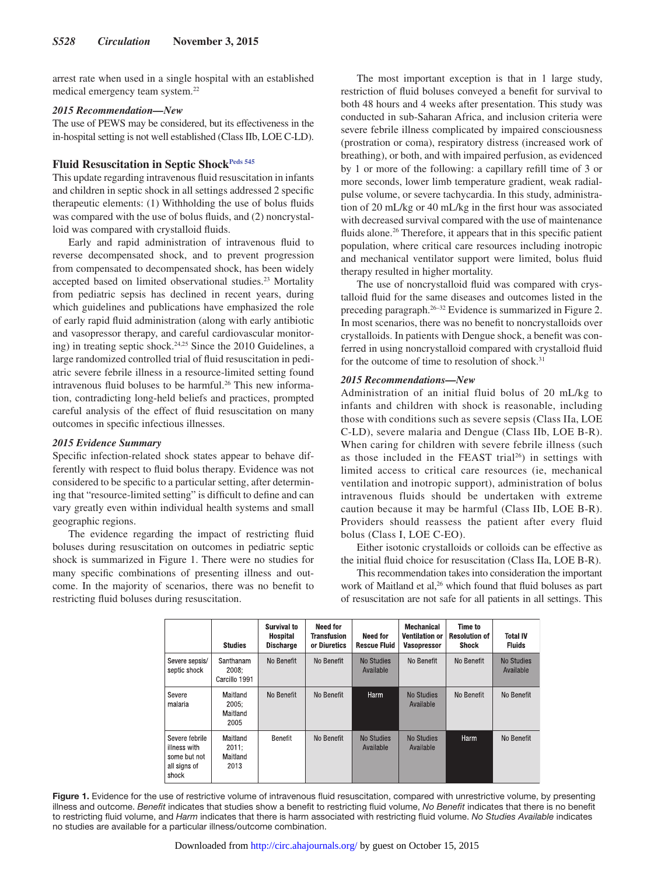arrest rate when used in a single hospital with an established medical emergency team system.22

#### *2015 Recommendation—New*

The use of PEWS may be considered, but its effectiveness in the in-hospital setting is not well established (Class IIb, LOE C-LD).

## Fluid Resuscitation in Septic Shock<sup>Peds 545</sup>

This update regarding intravenous fluid resuscitation in infants and children in septic shock in all settings addressed 2 specific therapeutic elements: (1) Withholding the use of bolus fluids was compared with the use of bolus fluids, and (2) noncrystalloid was compared with crystalloid fluids.

Early and rapid administration of intravenous fluid to reverse decompensated shock, and to prevent progression from compensated to decompensated shock, has been widely accepted based on limited observational studies.23 Mortality from pediatric sepsis has declined in recent years, during which guidelines and publications have emphasized the role of early rapid fluid administration (along with early antibiotic and vasopressor therapy, and careful cardiovascular monitoring) in treating septic shock.24,25 Since the 2010 Guidelines, a large randomized controlled trial of fluid resuscitation in pediatric severe febrile illness in a resource-limited setting found intravenous fluid boluses to be harmful.<sup>26</sup> This new information, contradicting long-held beliefs and practices, prompted careful analysis of the effect of fluid resuscitation on many outcomes in specific infectious illnesses.

#### *2015 Evidence Summary*

Specific infection-related shock states appear to behave differently with respect to fluid bolus therapy. Evidence was not considered to be specific to a particular setting, after determining that "resource-limited setting" is difficult to define and can vary greatly even within individual health systems and small geographic regions.

The evidence regarding the impact of restricting fluid boluses during resuscitation on outcomes in pediatric septic shock is summarized in Figure 1. There were no studies for many specific combinations of presenting illness and outcome. In the majority of scenarios, there was no benefit to restricting fluid boluses during resuscitation.

The most important exception is that in 1 large study, restriction of fluid boluses conveyed a benefit for survival to both 48 hours and 4 weeks after presentation. This study was conducted in sub-Saharan Africa, and inclusion criteria were severe febrile illness complicated by impaired consciousness (prostration or coma), respiratory distress (increased work of breathing), or both, and with impaired perfusion, as evidenced by 1 or more of the following: a capillary refill time of 3 or more seconds, lower limb temperature gradient, weak radialpulse volume, or severe tachycardia. In this study, administration of 20 mL/kg or 40 mL/kg in the first hour was associated with decreased survival compared with the use of maintenance fluids alone.<sup>26</sup> Therefore, it appears that in this specific patient population, where critical care resources including inotropic and mechanical ventilator support were limited, bolus fluid therapy resulted in higher mortality.

The use of noncrystalloid fluid was compared with crystalloid fluid for the same diseases and outcomes listed in the preceding paragraph.26–32 Evidence is summarized in Figure 2. In most scenarios, there was no benefit to noncrystalloids over crystalloids. In patients with Dengue shock, a benefit was conferred in using noncrystalloid compared with crystalloid fluid for the outcome of time to resolution of shock.<sup>31</sup>

## *2015 Recommendations—New*

Administration of an initial fluid bolus of 20 mL/kg to infants and children with shock is reasonable, including those with conditions such as severe sepsis (Class IIa, LOE C-LD), severe malaria and Dengue (Class IIb, LOE B-R). When caring for children with severe febrile illness (such as those included in the FEAST trial<sup>26</sup>) in settings with limited access to critical care resources (ie, mechanical ventilation and inotropic support), administration of bolus intravenous fluids should be undertaken with extreme caution because it may be harmful (Class IIb, LOE B-R). Providers should reassess the patient after every fluid bolus (Class I, LOE C-EO).

Either isotonic crystalloids or colloids can be effective as the initial fluid choice for resuscitation (Class IIa, LOE B-R).

This recommendation takes into consideration the important work of Maitland et al,<sup>26</sup> which found that fluid boluses as part of resuscitation are not safe for all patients in all settings. This

|                                                                         | <b>Studies</b>                        | Survival to<br><b>Hospital</b><br><b>Discharge</b> | <b>Need for</b><br><b>Transfusion</b><br>or Diuretics | <b>Need for</b><br><b>Rescue Fluid</b> | <b>Mechanical</b><br><b>Ventilation or</b><br><b>Vasopressor</b> | Time to<br><b>Resolution of</b><br>Shock | <b>Total IV</b><br><b>Fluids</b> |
|-------------------------------------------------------------------------|---------------------------------------|----------------------------------------------------|-------------------------------------------------------|----------------------------------------|------------------------------------------------------------------|------------------------------------------|----------------------------------|
| Severe sepsis/<br>septic shock                                          | Santhanam<br>2008:<br>Carcillo 1991   | No Benefit                                         | No Benefit                                            | No Studies<br>Available                | No Benefit                                                       | No Benefit                               | No Studies<br>Available          |
| Severe<br>malaria                                                       | Maitland<br>2005:<br>Maitland<br>2005 | No Benefit                                         | No Benefit                                            | Harm                                   | <b>No Studies</b><br>Available                                   | No Benefit                               | No Benefit                       |
| Severe febrile<br>illness with<br>some but not<br>all signs of<br>shock | Maitland<br>2011:<br>Maitland<br>2013 | Benefit                                            | No Benefit                                            | <b>No Studies</b><br>Available         | <b>No Studies</b><br>Available                                   | Harm                                     | No Benefit                       |

Figure 1. Evidence for the use of restrictive volume of intravenous fluid resuscitation, compared with unrestrictive volume, by presenting illness and outcome. *Benefit* indicates that studies show a benefit to restricting fluid volume, *No Benefit* indicates that there is no benefit to restricting fluid volume, and *Harm* indicates that there is harm associated with restricting fluid volume. *No Studies Available* indicates no studies are available for a particular illness/outcome combination.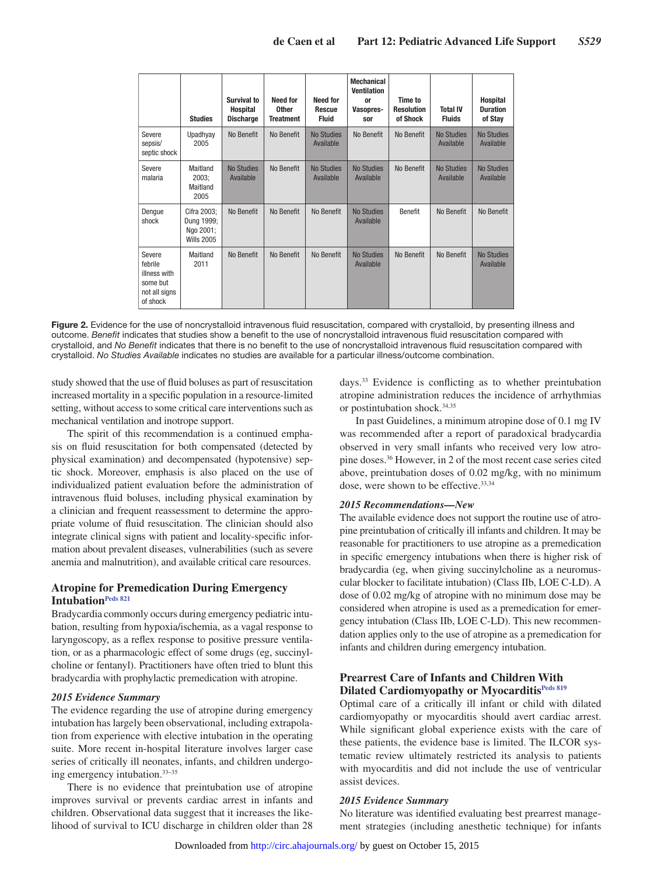|                                                                            | <b>Studies</b>                                              | Survival to<br>Hospital<br><b>Discharge</b> | Need for<br><b>Other</b><br><b>Treatment</b> | <b>Need for</b><br><b>Rescue</b><br><b>Fluid</b> | <b>Mechanical</b><br><b>Ventilation</b><br>0r<br>Vasopres-<br>sor | Time to<br><b>Resolution</b><br>of Shock | <b>Total IV</b><br><b>Fluids</b> | <b>Hospital</b><br><b>Duration</b><br>of Stay |
|----------------------------------------------------------------------------|-------------------------------------------------------------|---------------------------------------------|----------------------------------------------|--------------------------------------------------|-------------------------------------------------------------------|------------------------------------------|----------------------------------|-----------------------------------------------|
| Severe<br>sepsis/<br>septic shock                                          | Upadhyay<br>2005                                            | No Benefit                                  | No Benefit                                   | <b>No Studies</b><br>Available                   | No Benefit                                                        | No Benefit                               | <b>No Studies</b><br>Available   | <b>No Studies</b><br>Available                |
| Severe<br>malaria                                                          | Maitland<br>2003:<br>Maitland<br>2005                       | <b>No Studies</b><br>Available              | No Benefit                                   | <b>No Studies</b><br>Available                   | <b>No Studies</b><br>Available                                    | No Benefit                               | <b>No Studies</b><br>Available   | <b>No Studies</b><br>Available                |
| Dengue<br>shock                                                            | Cifra 2003;<br>Dung 1999;<br>Ngo 2001;<br><b>Wills 2005</b> | No Benefit                                  | No Benefit                                   | No Benefit                                       | <b>No Studies</b><br>Available                                    | Benefit                                  | No Benefit                       | No Benefit                                    |
| Severe<br>febrile<br>illness with<br>some but<br>not all signs<br>of shock | Maitland<br>2011                                            | No Benefit                                  | No Benefit                                   | No Benefit                                       | <b>No Studies</b><br>Available                                    | No Benefit                               | No Benefit                       | <b>No Studies</b><br>Available                |

**Figure 2.** Evidence for the use of noncrystalloid intravenous fluid resuscitation, compared with crystalloid, by presenting illness and outcome. *Benefit* indicates that studies show a benefit to the use of noncrystalloid intravenous fluid resuscitation compared with crystalloid, and *No Benefit* indicates that there is no benefit to the use of noncrystalloid intravenous fluid resuscitation compared with crystalloid. *No Studies Available* indicates no studies are available for a particular illness/outcome combination.

study showed that the use of fluid boluses as part of resuscitation increased mortality in a specific population in a resource-limited setting, without access to some critical care interventions such as mechanical ventilation and inotrope support.

The spirit of this recommendation is a continued emphasis on fluid resuscitation for both compensated (detected by physical examination) and decompensated (hypotensive) septic shock. Moreover, emphasis is also placed on the use of individualized patient evaluation before the administration of intravenous fluid boluses, including physical examination by a clinician and frequent reassessment to determine the appropriate volume of fluid resuscitation. The clinician should also integrate clinical signs with patient and locality-specific information about prevalent diseases, vulnerabilities (such as severe anemia and malnutrition), and available critical care resources.

## **Atropine for Premedication During Emergency Intubation[Peds 821](https://volunteer.heart.org/apps/pico/Pages/PublicComment.aspx?q=821)**

Bradycardia commonly occurs during emergency pediatric intubation, resulting from hypoxia/ischemia, as a vagal response to laryngoscopy, as a reflex response to positive pressure ventilation, or as a pharmacologic effect of some drugs (eg, succinylcholine or fentanyl). Practitioners have often tried to blunt this bradycardia with prophylactic premedication with atropine.

#### *2015 Evidence Summary*

The evidence regarding the use of atropine during emergency intubation has largely been observational, including extrapolation from experience with elective intubation in the operating suite. More recent in-hospital literature involves larger case series of critically ill neonates, infants, and children undergoing emergency intubation.33–35

There is no evidence that preintubation use of atropine improves survival or prevents cardiac arrest in infants and children. Observational data suggest that it increases the likelihood of survival to ICU discharge in children older than 28 days.33 Evidence is conflicting as to whether preintubation atropine administration reduces the incidence of arrhythmias or postintubation shock.34,35

In past Guidelines, a minimum atropine dose of 0.1 mg IV was recommended after a report of paradoxical bradycardia observed in very small infants who received very low atropine doses.36 However, in 2 of the most recent case series cited above, preintubation doses of 0.02 mg/kg, with no minimum dose, were shown to be effective.<sup>33,34</sup>

#### *2015 Recommendations—New*

The available evidence does not support the routine use of atropine preintubation of critically ill infants and children. It may be reasonable for practitioners to use atropine as a premedication in specific emergency intubations when there is higher risk of bradycardia (eg, when giving succinylcholine as a neuromuscular blocker to facilitate intubation) (Class IIb, LOE C-LD). A dose of 0.02 mg/kg of atropine with no minimum dose may be considered when atropine is used as a premedication for emergency intubation (Class IIb, LOE C-LD). This new recommendation applies only to the use of atropine as a premedication for infants and children during emergency intubation.

## **Prearrest Care of Infants and Children With Dilated Cardiomyopathy or Myocarditi[sPeds 819](https://volunteer.heart.org/apps/pico/Pages/PublicComment.aspx?q=819)**

Optimal care of a critically ill infant or child with dilated cardiomyopathy or myocarditis should avert cardiac arrest. While significant global experience exists with the care of these patients, the evidence base is limited. The ILCOR systematic review ultimately restricted its analysis to patients with myocarditis and did not include the use of ventricular assist devices.

#### *2015 Evidence Summary*

No literature was identified evaluating best prearrest management strategies (including anesthetic technique) for infants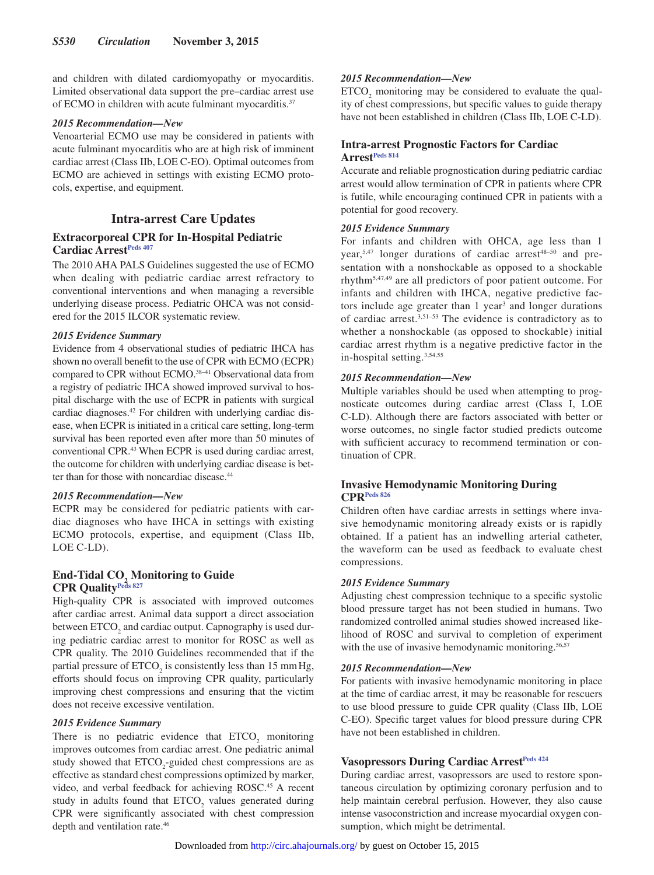and children with dilated cardiomyopathy or myocarditis. Limited observational data support the pre–cardiac arrest use of ECMO in children with acute fulminant myocarditis.37

#### *2015 Recommendation—New*

Venoarterial ECMO use may be considered in patients with acute fulminant myocarditis who are at high risk of imminent cardiac arrest (Class IIb, LOE C-EO). Optimal outcomes from ECMO are achieved in settings with existing ECMO protocols, expertise, and equipment.

## **Intra-arrest Care Updates**

## **Extracorporeal CPR for In-Hospital Pediatric Cardiac Arrest<sup>Peds 407</sup>**

The 2010 AHA PALS Guidelines suggested the use of ECMO when dealing with pediatric cardiac arrest refractory to conventional interventions and when managing a reversible underlying disease process. Pediatric OHCA was not considered for the 2015 ILCOR systematic review.

## *2015 Evidence Summary*

Evidence from 4 observational studies of pediatric IHCA has shown no overall benefit to the use of CPR with ECMO (ECPR) compared to CPR without ECMO.38–41 Observational data from a registry of pediatric IHCA showed improved survival to hospital discharge with the use of ECPR in patients with surgical cardiac diagnoses.42 For children with underlying cardiac disease, when ECPR is initiated in a critical care setting, long-term survival has been reported even after more than 50 minutes of conventional CPR.43 When ECPR is used during cardiac arrest, the outcome for children with underlying cardiac disease is better than for those with noncardiac disease.<sup>44</sup>

#### *2015 Recommendation—New*

ECPR may be considered for pediatric patients with cardiac diagnoses who have IHCA in settings with existing ECMO protocols, expertise, and equipment (Class IIb, LOE C-LD).

## **End-Tidal CO<sub>2</sub> Monitoring to Guide CPR Qualit[yPeds 827](https://volunteer.heart.org/apps/pico/Pages/PublicComment.aspx?q=827)**

High-quality CPR is associated with improved outcomes after cardiac arrest. Animal data support a direct association between  $ETCO<sub>2</sub>$  and cardiac output. Capnography is used during pediatric cardiac arrest to monitor for ROSC as well as CPR quality. The 2010 Guidelines recommended that if the partial pressure of  $ETCO<sub>2</sub>$  is consistently less than 15 mm Hg, efforts should focus on improving CPR quality, particularly improving chest compressions and ensuring that the victim does not receive excessive ventilation.

#### *2015 Evidence Summary*

There is no pediatric evidence that  $ETCO<sub>2</sub>$  monitoring improves outcomes from cardiac arrest. One pediatric animal study showed that  $ETCO_2$ -guided chest compressions are as effective as standard chest compressions optimized by marker, video, and verbal feedback for achieving ROSC.<sup>45</sup> A recent study in adults found that  $ETCO<sub>2</sub>$  values generated during CPR were significantly associated with chest compression depth and ventilation rate.46

## *2015 Recommendation—New*

 $ETCO<sub>2</sub>$  monitoring may be considered to evaluate the quality of chest compressions, but specific values to guide therapy have not been established in children (Class IIb, LOE C-LD).

## **Intra-arrest Prognostic Factors for Cardiac Arrest[Peds 814](https://volunteer.heart.org/apps/pico/Pages/PublicComment.aspx?q=814)**

Accurate and reliable prognostication during pediatric cardiac arrest would allow termination of CPR in patients where CPR is futile, while encouraging continued CPR in patients with a potential for good recovery.

## *2015 Evidence Summary*

For infants and children with OHCA, age less than 1 year, $5,47$  longer durations of cardiac arrest $48-50$  and presentation with a nonshockable as opposed to a shockable rhythm5,47,49 are all predictors of poor patient outcome. For infants and children with IHCA, negative predictive factors include age greater than 1 year<sup>3</sup> and longer durations of cardiac arrest.3,51–53 The evidence is contradictory as to whether a nonshockable (as opposed to shockable) initial cardiac arrest rhythm is a negative predictive factor in the in-hospital setting.3,54,55

## *2015 Recommendation—New*

Multiple variables should be used when attempting to prognosticate outcomes during cardiac arrest (Class I, LOE C-LD). Although there are factors associated with better or worse outcomes, no single factor studied predicts outcome with sufficient accuracy to recommend termination or continuation of CPR.

## **Invasive Hemodynamic Monitoring During CPR[Peds 826](https://volunteer.heart.org/apps/pico/Pages/PublicComment.aspx?q=826)**

Children often have cardiac arrests in settings where invasive hemodynamic monitoring already exists or is rapidly obtained. If a patient has an indwelling arterial catheter, the waveform can be used as feedback to evaluate chest compressions.

#### *2015 Evidence Summary*

Adjusting chest compression technique to a specific systolic blood pressure target has not been studied in humans. Two randomized controlled animal studies showed increased likelihood of ROSC and survival to completion of experiment with the use of invasive hemodynamic monitoring.<sup>56,57</sup>

#### *2015 Recommendation—New*

For patients with invasive hemodynamic monitoring in place at the time of cardiac arrest, it may be reasonable for rescuers to use blood pressure to guide CPR quality (Class IIb, LOE C-EO). Specific target values for blood pressure during CPR have not been established in children.

## **Vasopressors During Cardiac Arrest[Peds 424](https://volunteer.heart.org/apps/pico/Pages/PublicComment.aspx?q=424)**

During cardiac arrest, vasopressors are used to restore spontaneous circulation by optimizing coronary perfusion and to help maintain cerebral perfusion. However, they also cause intense vasoconstriction and increase myocardial oxygen consumption, which might be detrimental.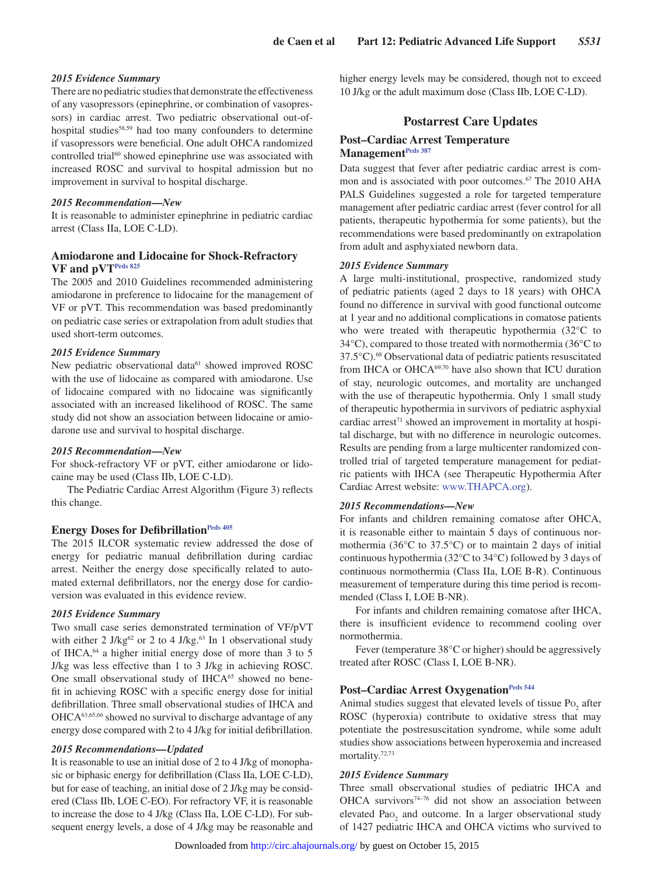## *2015 Evidence Summary*

There are no pediatric studies that demonstrate the effectiveness of any vasopressors (epinephrine, or combination of vasopressors) in cardiac arrest. Two pediatric observational out-ofhospital studies<sup>58,59</sup> had too many confounders to determine if vasopressors were beneficial. One adult OHCA randomized controlled trial<sup>60</sup> showed epinephrine use was associated with increased ROSC and survival to hospital admission but no improvement in survival to hospital discharge.

#### *2015 Recommendation—New*

It is reasonable to administer epinephrine in pediatric cardiac arrest (Class IIa, LOE C-LD).

## **Amiodarone and Lidocaine for Shock-Refractory VF and pVT[Peds 825](https://volunteer.heart.org/apps/pico/Pages/PublicComment.aspx?q=825)**

The 2005 and 2010 Guidelines recommended administering amiodarone in preference to lidocaine for the management of VF or pVT. This recommendation was based predominantly on pediatric case series or extrapolation from adult studies that used short-term outcomes.

#### *2015 Evidence Summary*

New pediatric observational data<sup>61</sup> showed improved ROSC with the use of lidocaine as compared with amiodarone. Use of lidocaine compared with no lidocaine was significantly associated with an increased likelihood of ROSC. The same study did not show an association between lidocaine or amiodarone use and survival to hospital discharge.

#### *2015 Recommendation—New*

For shock-refractory VF or pVT, either amiodarone or lidocaine may be used (Class IIb, LOE C-LD).

The Pediatric Cardiac Arrest Algorithm (Figure 3) reflects this change.

#### **Energy Doses for Defibrillation**Peds 405

The 2015 ILCOR systematic review addressed the dose of energy for pediatric manual defibrillation during cardiac arrest. Neither the energy dose specifically related to automated external defibrillators, nor the energy dose for cardioversion was evaluated in this evidence review.

#### *2015 Evidence Summary*

Two small case series demonstrated termination of VF/pVT with either 2 J/kg<sup>62</sup> or 2 to 4 J/kg.<sup>63</sup> In 1 observational study of IHCA,64 a higher initial energy dose of more than 3 to 5 J/kg was less effective than 1 to 3 J/kg in achieving ROSC. One small observational study of IHCA<sup>65</sup> showed no benefit in achieving ROSC with a specific energy dose for initial defibrillation. Three small observational studies of IHCA and OHCA63,65,66 showed no survival to discharge advantage of any energy dose compared with 2 to 4 J/kg for initial defibrillation.

#### *2015 Recommendations—Updated*

It is reasonable to use an initial dose of 2 to 4 J/kg of monophasic or biphasic energy for defibrillation (Class IIa, LOE C-LD), but for ease of teaching, an initial dose of 2 J/kg may be considered (Class IIb, LOE C-EO). For refractory VF, it is reasonable to increase the dose to 4 J/kg (Class IIa, LOE C-LD). For subsequent energy levels, a dose of 4 J/kg may be reasonable and higher energy levels may be considered, though not to exceed 10 J/kg or the adult maximum dose (Class IIb, LOE C-LD).

## **Postarrest Care Updates**

## **Post–Cardiac Arrest Temperature Management[Peds 387](https://volunteer.heart.org/apps/pico/Pages/PublicComment.aspx?q=387)**

Data suggest that fever after pediatric cardiac arrest is common and is associated with poor outcomes.<sup>67</sup> The 2010 AHA PALS Guidelines suggested a role for targeted temperature management after pediatric cardiac arrest (fever control for all patients, therapeutic hypothermia for some patients), but the recommendations were based predominantly on extrapolation from adult and asphyxiated newborn data.

#### *2015 Evidence Summary*

A large multi-institutional, prospective, randomized study of pediatric patients (aged 2 days to 18 years) with OHCA found no difference in survival with good functional outcome at 1 year and no additional complications in comatose patients who were treated with therapeutic hypothermia (32°C to 34°C), compared to those treated with normothermia (36°C to 37.5°C).68 Observational data of pediatric patients resuscitated from IHCA or OHCA69,70 have also shown that ICU duration of stay, neurologic outcomes, and mortality are unchanged with the use of therapeutic hypothermia. Only 1 small study of therapeutic hypothermia in survivors of pediatric asphyxial cardiac arrest $71$  showed an improvement in mortality at hospital discharge, but with no difference in neurologic outcomes. Results are pending from a large multicenter randomized controlled trial of targeted temperature management for pediatric patients with IHCA (see Therapeutic Hypothermia After Cardiac Arrest website: [www.THAPCA.org\)](https://www.THAPCA.org).

#### *2015 Recommendations—New*

For infants and children remaining comatose after OHCA, it is reasonable either to maintain 5 days of continuous normothermia (36°C to 37.5°C) or to maintain 2 days of initial continuous hypothermia (32°C to 34°C) followed by 3 days of continuous normothermia (Class IIa, LOE B-R). Continuous measurement of temperature during this time period is recommended (Class I, LOE B-NR).

For infants and children remaining comatose after IHCA, there is insufficient evidence to recommend cooling over normothermia.

Fever (temperature 38°C or higher) should be aggressively treated after ROSC (Class I, LOE B-NR).

## Post-Cardiac Arrest Oxygenation<sup>Peds 544</sup>

Animal studies suggest that elevated levels of tissue  $Po_2$  after ROSC (hyperoxia) contribute to oxidative stress that may potentiate the postresuscitation syndrome, while some adult studies show associations between hyperoxemia and increased mortality.<sup>72,73</sup>

#### *2015 Evidence Summary*

Three small observational studies of pediatric IHCA and OHCA survivors<sup>74-76</sup> did not show an association between elevated  $Pao_2$  and outcome. In a larger observational study of 1427 pediatric IHCA and OHCA victims who survived to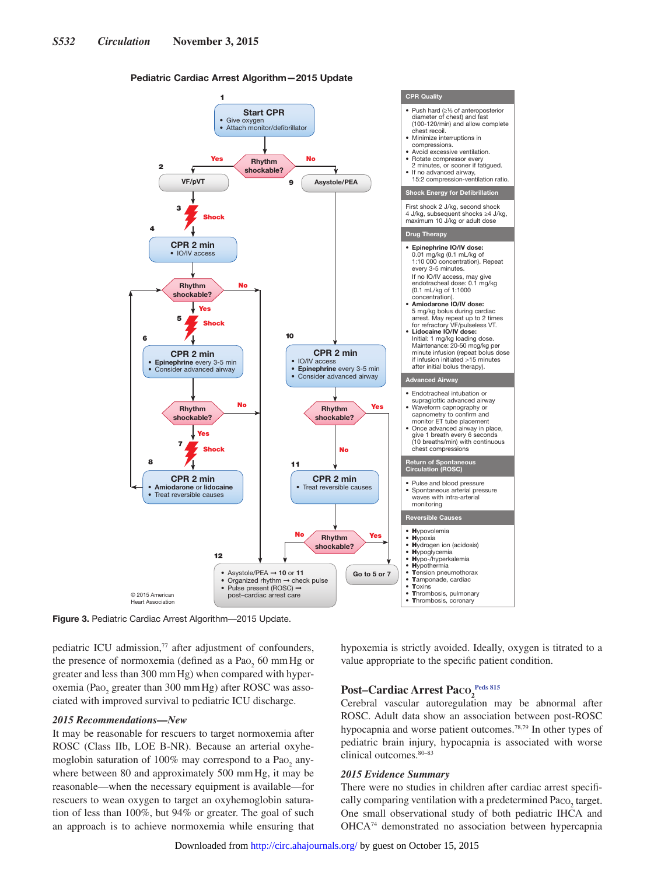#### Pediatric Cardiac Arrest Algorithm—2015 Update



**Figure 3.** Pediatric Cardiac Arrest Algorithm—2015 Update.

pediatric ICU admission,<sup>77</sup> after adjustment of confounders, the presence of normoxemia (defined as a  $PaO<sub>2</sub>$  60 mm Hg or greater and less than 300 mmHg) when compared with hyperoxemia (Pao<sub>2</sub> greater than 300 mmHg) after ROSC was associated with improved survival to pediatric ICU discharge.

#### *2015 Recommendations—New*

It may be reasonable for rescuers to target normoxemia after ROSC (Class IIb, LOE B-NR). Because an arterial oxyhemoglobin saturation of 100% may correspond to a Pao<sub>2</sub> anywhere between 80 and approximately 500 mmHg, it may be reasonable—when the necessary equipment is available—for rescuers to wean oxygen to target an oxyhemoglobin saturation of less than 100%, but 94% or greater. The goal of such an approach is to achieve normoxemia while ensuring that hypoxemia is strictly avoided. Ideally, oxygen is titrated to a value appropriate to the specific patient condition.

## $\textbf{Post--Cardiac~Arrest~Paco}_{2}^{\text{Peds~815}}$

Cerebral vascular autoregulation may be abnormal after ROSC. Adult data show an association between post-ROSC hypocapnia and worse patient outcomes.78,79 In other types of pediatric brain injury, hypocapnia is associated with worse clinical outcomes.80–83

#### *2015 Evidence Summary*

There were no studies in children after cardiac arrest specifically comparing ventilation with a predetermined  $Paco_2$  target. One small observational study of both pediatric IHCA and OHCA74 demonstrated no association between hypercapnia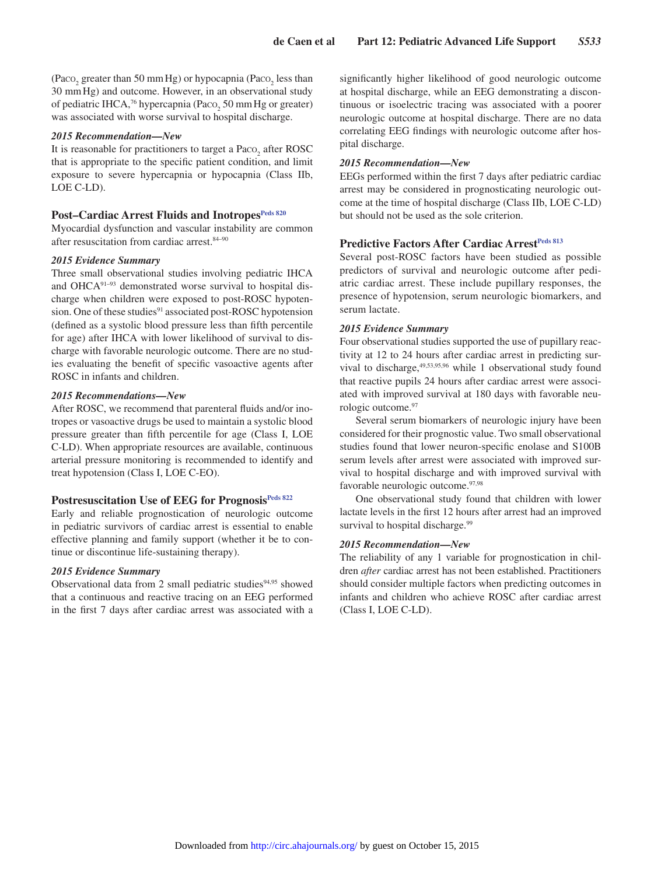(Paco<sub>2</sub> greater than 50 mm Hg) or hypocapnia (Paco<sub>2</sub> less than 30 mmHg) and outcome. However, in an observational study of pediatric IHCA,<sup>76</sup> hypercapnia (Paco<sub>2</sub> 50 mm Hg or greater) was associated with worse survival to hospital discharge.

#### *2015 Recommendation—New*

It is reasonable for practitioners to target a  $\text{Paco}_{2}$  after ROSC that is appropriate to the specific patient condition, and limit exposure to severe hypercapnia or hypocapnia (Class IIb, LOE C-LD).

## Post-Cardiac Arrest Fluids and Inotropes<sup>Peds 820</sup>

Myocardial dysfunction and vascular instability are common after resuscitation from cardiac arrest.<sup>84–90</sup>

#### *2015 Evidence Summary*

Three small observational studies involving pediatric IHCA and OHCA91–93 demonstrated worse survival to hospital discharge when children were exposed to post-ROSC hypotension. One of these studies<sup>91</sup> associated post-ROSC hypotension (defined as a systolic blood pressure less than fifth percentile for age) after IHCA with lower likelihood of survival to discharge with favorable neurologic outcome. There are no studies evaluating the benefit of specific vasoactive agents after ROSC in infants and children.

#### *2015 Recommendations—New*

After ROSC, we recommend that parenteral fluids and/or inotropes or vasoactive drugs be used to maintain a systolic blood pressure greater than fifth percentile for age (Class I, LOE C-LD). When appropriate resources are available, continuous arterial pressure monitoring is recommended to identify and treat hypotension (Class I, LOE C-EO).

## Postresuscitation Use of EEG for Prognosis<sup>Peds 822</sup>

Early and reliable prognostication of neurologic outcome in pediatric survivors of cardiac arrest is essential to enable effective planning and family support (whether it be to continue or discontinue life-sustaining therapy).

#### *2015 Evidence Summary*

Observational data from 2 small pediatric studies $94,95$  showed that a continuous and reactive tracing on an EEG performed in the first 7 days after cardiac arrest was associated with a significantly higher likelihood of good neurologic outcome at hospital discharge, while an EEG demonstrating a discontinuous or isoelectric tracing was associated with a poorer neurologic outcome at hospital discharge. There are no data correlating EEG findings with neurologic outcome after hospital discharge.

#### *2015 Recommendation—New*

EEGs performed within the first 7 days after pediatric cardiac arrest may be considered in prognosticating neurologic outcome at the time of hospital discharge (Class IIb, LOE C-LD) but should not be used as the sole criterion.

## **Predictive Factors After Cardiac Arrest<sup>Peds 813</sup>**

Several post-ROSC factors have been studied as possible predictors of survival and neurologic outcome after pediatric cardiac arrest. These include pupillary responses, the presence of hypotension, serum neurologic biomarkers, and serum lactate.

#### *2015 Evidence Summary*

Four observational studies supported the use of pupillary reactivity at 12 to 24 hours after cardiac arrest in predicting survival to discharge,  $49,53,95,96$  while 1 observational study found that reactive pupils 24 hours after cardiac arrest were associated with improved survival at 180 days with favorable neurologic outcome.97

Several serum biomarkers of neurologic injury have been considered for their prognostic value. Two small observational studies found that lower neuron-specific enolase and S100B serum levels after arrest were associated with improved survival to hospital discharge and with improved survival with favorable neurologic outcome.97,98

One observational study found that children with lower lactate levels in the first 12 hours after arrest had an improved survival to hospital discharge.<sup>99</sup>

#### *2015 Recommendation—New*

The reliability of any 1 variable for prognostication in children *after* cardiac arrest has not been established. Practitioners should consider multiple factors when predicting outcomes in infants and children who achieve ROSC after cardiac arrest (Class I, LOE C-LD).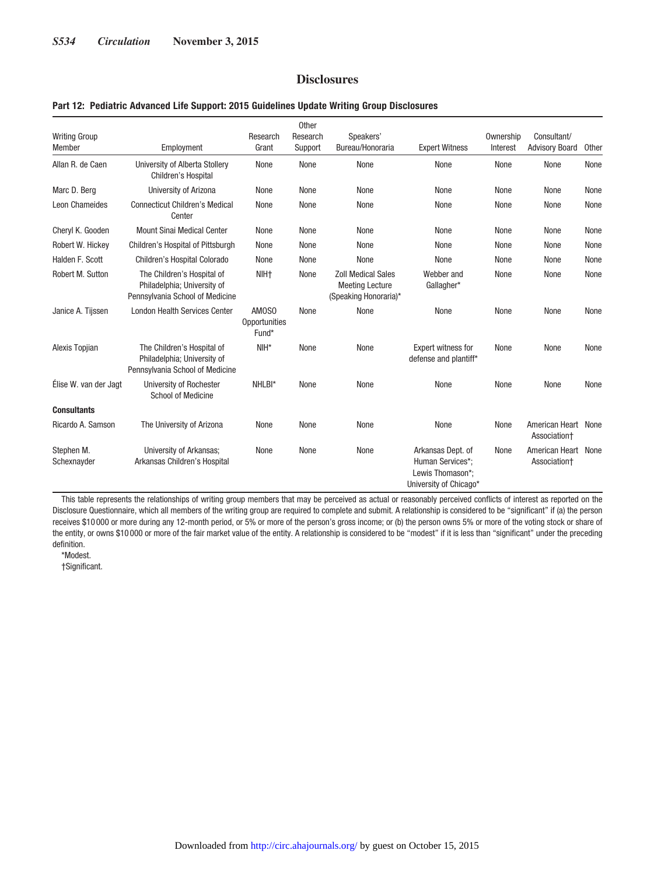## **Disclosures**

#### **Part 12: Pediatric Advanced Life Support: 2015 Guidelines Update Writing Group Disclosures**

| <b>Writing Group</b><br>Member | Employment                                                                                   | Research<br>Grant               | Other<br>Research<br>Support | Speakers'<br>Bureau/Honoraria                                                | <b>Expert Witness</b>                                                               | Ownership<br>Interest | Consultant/<br><b>Advisory Board</b> | Other |
|--------------------------------|----------------------------------------------------------------------------------------------|---------------------------------|------------------------------|------------------------------------------------------------------------------|-------------------------------------------------------------------------------------|-----------------------|--------------------------------------|-------|
| Allan R. de Caen               | University of Alberta Stollery<br>Children's Hospital                                        | None                            | None                         | None                                                                         | None                                                                                | None                  | None                                 | None  |
| Marc D. Berg                   | University of Arizona                                                                        | None                            | None                         | None                                                                         | None                                                                                | None                  | None                                 | None  |
| Leon Chameides                 | <b>Connecticut Children's Medical</b><br>Center                                              | None                            | None                         | None                                                                         | None                                                                                | None                  | None                                 | None  |
| Cheryl K. Gooden               | <b>Mount Sinai Medical Center</b>                                                            | None                            | None                         | None                                                                         | None                                                                                | None                  | None                                 | None  |
| Robert W. Hickey               | Children's Hospital of Pittsburgh                                                            | None                            | None                         | None                                                                         | None                                                                                | None                  | None                                 | None  |
| Halden F. Scott                | Children's Hospital Colorado                                                                 | None                            | None                         | None                                                                         | None                                                                                | None                  | None                                 | None  |
| Robert M. Sutton               | The Children's Hospital of<br>Philadelphia; University of<br>Pennsylvania School of Medicine | NIH <sub>†</sub>                | None                         | <b>Zoll Medical Sales</b><br><b>Meeting Lecture</b><br>(Speaking Honoraria)* | Webber and<br>Gallagher*                                                            | None                  | None                                 | None  |
| Janice A. Tijssen              | <b>London Health Services Center</b>                                                         | AM0S0<br>Opportunities<br>Fund* | None                         | None                                                                         | None                                                                                | None                  | None                                 | None  |
| Alexis Topjian                 | The Children's Hospital of<br>Philadelphia: University of<br>Pennsylvania School of Medicine | $NIH*$                          | None                         | None                                                                         | <b>Expert witness for</b><br>defense and plantiff*                                  | None                  | None                                 | None  |
| Élise W. van der Jagt          | University of Rochester<br><b>School of Medicine</b>                                         | NHLBI*                          | None                         | None                                                                         | None                                                                                | None                  | None                                 | None  |
| <b>Consultants</b>             |                                                                                              |                                 |                              |                                                                              |                                                                                     |                       |                                      |       |
| Ricardo A. Samson              | The University of Arizona                                                                    | None                            | None                         | None                                                                         | None                                                                                | None                  | American Heart None<br>Association+  |       |
| Stephen M.<br>Schexnayder      | University of Arkansas;<br>Arkansas Children's Hospital                                      | None                            | None                         | None                                                                         | Arkansas Dept. of<br>Human Services*:<br>Lewis Thomason*:<br>University of Chicago* | None                  | American Heart<br>Association+       | None  |

This table represents the relationships of writing group members that may be perceived as actual or reasonably perceived conflicts of interest as reported on the Disclosure Questionnaire, which all members of the writing group are required to complete and submit. A relationship is considered to be "significant" if (a) the person receives \$10 000 or more during any 12-month period, or 5% or more of the person's gross income; or (b) the person owns 5% or more of the voting stock or share of the entity, or owns \$10 000 or more of the fair market value of the entity. A relationship is considered to be "modest" if it is less than "significant" under the preceding definition.

\*Modest.

†Significant.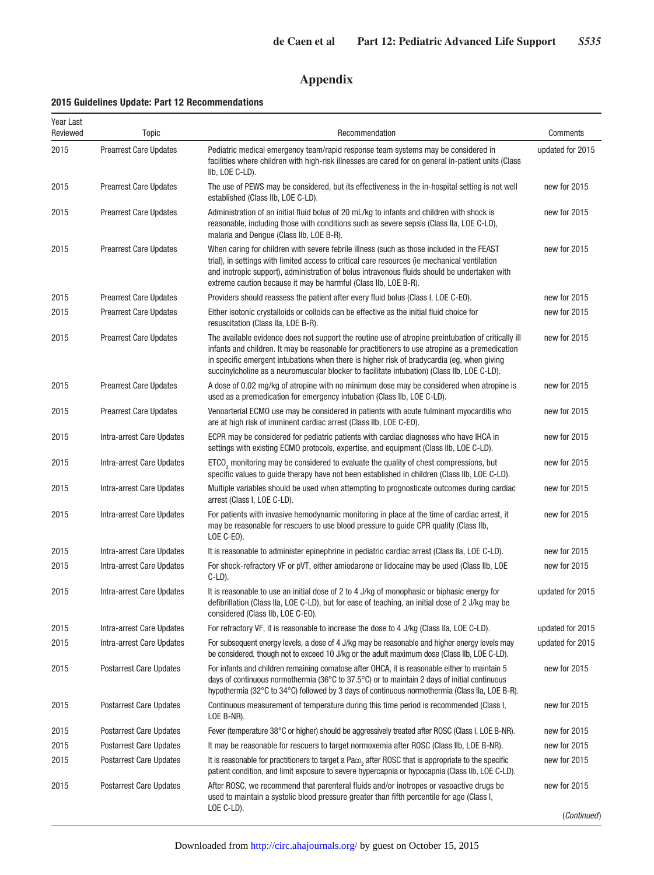# **Appendix**

## **2015 Guidelines Update: Part 12 Recommendations**

| Year Last<br>Reviewed | Topic                          | Recommendation                                                                                                                                                                                                                                                                                                                                                                                      | Comments         |
|-----------------------|--------------------------------|-----------------------------------------------------------------------------------------------------------------------------------------------------------------------------------------------------------------------------------------------------------------------------------------------------------------------------------------------------------------------------------------------------|------------------|
| 2015                  | <b>Prearrest Care Updates</b>  | Pediatric medical emergency team/rapid response team systems may be considered in<br>facilities where children with high-risk illnesses are cared for on general in-patient units (Class<br>IIb, LOE C-LD).                                                                                                                                                                                         | updated for 2015 |
| 2015                  | <b>Prearrest Care Updates</b>  | The use of PEWS may be considered, but its effectiveness in the in-hospital setting is not well<br>established (Class IIb, LOE C-LD).                                                                                                                                                                                                                                                               | new for 2015     |
| 2015                  | <b>Prearrest Care Updates</b>  | Administration of an initial fluid bolus of 20 mL/kg to infants and children with shock is<br>reasonable, including those with conditions such as severe sepsis (Class IIa, LOE C-LD),<br>malaria and Denque (Class IIb, LOE B-R).                                                                                                                                                                  | new for 2015     |
| 2015                  | <b>Prearrest Care Updates</b>  | When caring for children with severe febrile illness (such as those included in the FEAST<br>trial), in settings with limited access to critical care resources (ie mechanical ventilation<br>and inotropic support), administration of bolus intravenous fluids should be undertaken with<br>extreme caution because it may be harmful (Class IIb, LOE B-R).                                       | new for 2015     |
| 2015                  | <b>Prearrest Care Updates</b>  | Providers should reassess the patient after every fluid bolus (Class I, LOE C-EO).                                                                                                                                                                                                                                                                                                                  | new for 2015     |
| 2015                  | <b>Prearrest Care Updates</b>  | Either isotonic crystalloids or colloids can be effective as the initial fluid choice for<br>resuscitation (Class IIa, LOE B-R).                                                                                                                                                                                                                                                                    | new for 2015     |
| 2015                  | <b>Prearrest Care Updates</b>  | The available evidence does not support the routine use of atropine preintubation of critically ill<br>infants and children. It may be reasonable for practitioners to use atropine as a premedication<br>in specific emergent intubations when there is higher risk of bradycardia (eg, when giving<br>succinylcholine as a neuromuscular blocker to facilitate intubation) (Class IIb, LOE C-LD). | new for 2015     |
| 2015                  | <b>Prearrest Care Updates</b>  | A dose of 0.02 mg/kg of atropine with no minimum dose may be considered when atropine is<br>used as a premedication for emergency intubation (Class IIb, LOE C-LD).                                                                                                                                                                                                                                 | new for 2015     |
| 2015                  | <b>Prearrest Care Updates</b>  | Venoarterial ECMO use may be considered in patients with acute fulminant myocarditis who<br>are at high risk of imminent cardiac arrest (Class IIb, LOE C-EO).                                                                                                                                                                                                                                      | new for 2015     |
| 2015                  | Intra-arrest Care Updates      | ECPR may be considered for pediatric patients with cardiac diagnoses who have IHCA in<br>settings with existing ECMO protocols, expertise, and equipment (Class IIb, LOE C-LD).                                                                                                                                                                                                                     | new for 2015     |
| 2015                  | Intra-arrest Care Updates      | ETCO <sub>2</sub> monitoring may be considered to evaluate the quality of chest compressions, but<br>specific values to guide therapy have not been established in children (Class IIb, LOE C-LD).                                                                                                                                                                                                  | new for 2015     |
| 2015                  | Intra-arrest Care Updates      | Multiple variables should be used when attempting to prognosticate outcomes during cardiac<br>arrest (Class I, LOE C-LD).                                                                                                                                                                                                                                                                           | new for 2015     |
| 2015                  | Intra-arrest Care Updates      | For patients with invasive hemodynamic monitoring in place at the time of cardiac arrest, it<br>may be reasonable for rescuers to use blood pressure to guide CPR quality (Class IIb,<br>LOE C-EO).                                                                                                                                                                                                 | new for 2015     |
| 2015                  | Intra-arrest Care Updates      | It is reasonable to administer epinephrine in pediatric cardiac arrest (Class IIa, LOE C-LD).                                                                                                                                                                                                                                                                                                       | new for 2015     |
| 2015                  | Intra-arrest Care Updates      | For shock-refractory VF or pVT, either amiodarone or lidocaine may be used (Class IIb, LOE<br>$C-LD$ ).                                                                                                                                                                                                                                                                                             | new for 2015     |
| 2015                  | Intra-arrest Care Updates      | It is reasonable to use an initial dose of 2 to 4 J/kg of monophasic or biphasic energy for<br>defibrillation (Class IIa, LOE C-LD), but for ease of teaching, an initial dose of 2 J/kg may be<br>considered (Class IIb, LOE C-EO).                                                                                                                                                                | updated for 2015 |
| 2015                  | Intra-arrest Care Updates      | For refractory VF, it is reasonable to increase the dose to 4 J/kg (Class IIa, LOE C-LD).                                                                                                                                                                                                                                                                                                           | updated for 2015 |
| 2015                  | Intra-arrest Care Updates      | For subsequent energy levels, a dose of 4 J/kg may be reasonable and higher energy levels may<br>be considered, though not to exceed 10 J/kg or the adult maximum dose (Class IIb, LOE C-LD).                                                                                                                                                                                                       | updated for 2015 |
| 2015                  | <b>Postarrest Care Updates</b> | For infants and children remaining comatose after OHCA, it is reasonable either to maintain 5<br>days of continuous normothermia (36°C to 37.5°C) or to maintain 2 days of initial continuous<br>hypothermia (32°C to 34°C) followed by 3 days of continuous normothermia (Class IIa, LOE B-R).                                                                                                     | new for 2015     |
| 2015                  | <b>Postarrest Care Updates</b> | Continuous measurement of temperature during this time period is recommended (Class I,<br>LOE B-NR).                                                                                                                                                                                                                                                                                                | new for 2015     |
| 2015                  | <b>Postarrest Care Updates</b> | Fever (temperature 38°C or higher) should be aggressively treated after ROSC (Class I, LOE B-NR).                                                                                                                                                                                                                                                                                                   | new for 2015     |
| 2015                  | <b>Postarrest Care Updates</b> | It may be reasonable for rescuers to target normoxemia after ROSC (Class IIb, LOE B-NR).                                                                                                                                                                                                                                                                                                            | new for 2015     |
| 2015                  | <b>Postarrest Care Updates</b> | It is reasonable for practitioners to target a Paco <sub>2</sub> after ROSC that is appropriate to the specific<br>patient condition, and limit exposure to severe hypercapnia or hypocapnia (Class IIb, LOE C-LD).                                                                                                                                                                                 | new for 2015     |
| 2015                  | <b>Postarrest Care Updates</b> | After ROSC, we recommend that parenteral fluids and/or inotropes or vasoactive drugs be<br>used to maintain a systolic blood pressure greater than fifth percentile for age (Class I,                                                                                                                                                                                                               | new for 2015     |
|                       |                                | LOE C-LD).                                                                                                                                                                                                                                                                                                                                                                                          | (Continued)      |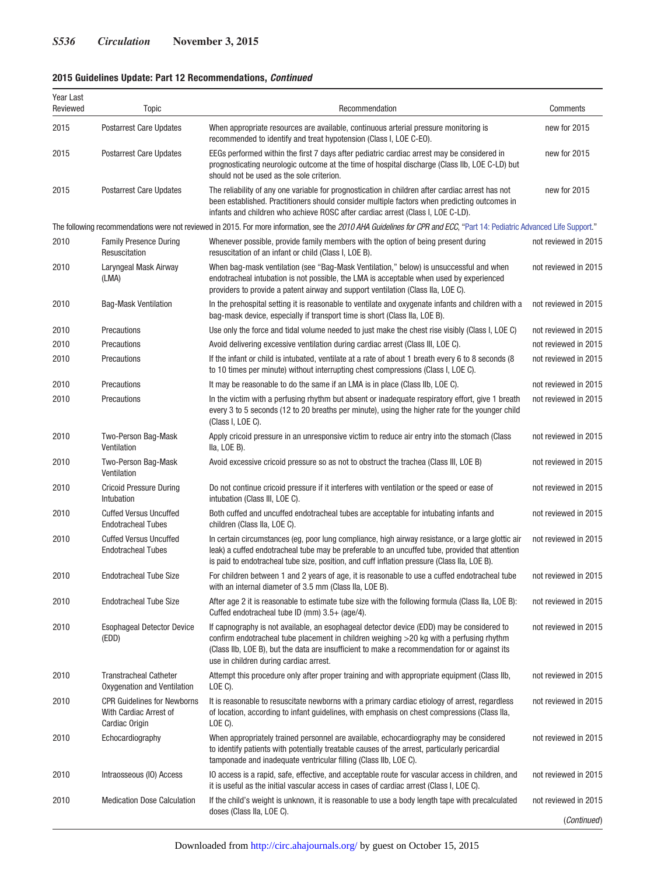## **2015 Guidelines Update: Part 12 Recommendations,** *Continued*

| Year Last<br>Reviewed | Topic                                                                          | Recommendation                                                                                                                                                                                                                                                                                                                  | Comments             |
|-----------------------|--------------------------------------------------------------------------------|---------------------------------------------------------------------------------------------------------------------------------------------------------------------------------------------------------------------------------------------------------------------------------------------------------------------------------|----------------------|
| 2015                  | <b>Postarrest Care Updates</b>                                                 | When appropriate resources are available, continuous arterial pressure monitoring is<br>recommended to identify and treat hypotension (Class I, LOE C-EO).                                                                                                                                                                      | new for 2015         |
| 2015                  | <b>Postarrest Care Updates</b>                                                 | EEGs performed within the first 7 days after pediatric cardiac arrest may be considered in<br>prognosticating neurologic outcome at the time of hospital discharge (Class IIb, LOE C-LD) but<br>should not be used as the sole criterion.                                                                                       | new for 2015         |
| 2015                  | <b>Postarrest Care Updates</b>                                                 | The reliability of any one variable for prognostication in children after cardiac arrest has not<br>been established. Practitioners should consider multiple factors when predicting outcomes in<br>infants and children who achieve ROSC after cardiac arrest (Class I, LOE C-LD).                                             | new for 2015         |
|                       |                                                                                | The following recommendations were not reviewed in 2015. For more information, see the 2010 AHA Guidelines for CPR and ECC, "Part 14: Pediatric Advanced Life Support."                                                                                                                                                         |                      |
| 2010                  | <b>Family Presence During</b><br>Resuscitation                                 | Whenever possible, provide family members with the option of being present during<br>resuscitation of an infant or child (Class I, LOE B).                                                                                                                                                                                      | not reviewed in 2015 |
| 2010                  | Laryngeal Mask Airway<br>(LMA)                                                 | When bag-mask ventilation (see "Bag-Mask Ventilation," below) is unsuccessful and when<br>endotracheal intubation is not possible, the LMA is acceptable when used by experienced<br>providers to provide a patent airway and support ventilation (Class IIa, LOE C).                                                           | not reviewed in 2015 |
| 2010                  | <b>Bag-Mask Ventilation</b>                                                    | In the prehospital setting it is reasonable to ventilate and oxygenate infants and children with a<br>bag-mask device, especially if transport time is short (Class IIa, LOE B).                                                                                                                                                | not reviewed in 2015 |
| 2010                  | Precautions                                                                    | Use only the force and tidal volume needed to just make the chest rise visibly (Class I, LOE C)                                                                                                                                                                                                                                 | not reviewed in 2015 |
| 2010                  | Precautions                                                                    | Avoid delivering excessive ventilation during cardiac arrest (Class III, LOE C).                                                                                                                                                                                                                                                | not reviewed in 2015 |
| 2010                  | Precautions                                                                    | If the infant or child is intubated, ventilate at a rate of about 1 breath every 6 to 8 seconds (8<br>to 10 times per minute) without interrupting chest compressions (Class I, LOE C).                                                                                                                                         | not reviewed in 2015 |
| 2010                  | Precautions                                                                    | It may be reasonable to do the same if an LMA is in place (Class IIb, LOE C).                                                                                                                                                                                                                                                   | not reviewed in 2015 |
| 2010                  | Precautions                                                                    | In the victim with a perfusing rhythm but absent or inadequate respiratory effort, give 1 breath<br>every 3 to 5 seconds (12 to 20 breaths per minute), using the higher rate for the younger child<br>(Class I, LOE C).                                                                                                        | not reviewed in 2015 |
| 2010                  | Two-Person Bag-Mask<br>Ventilation                                             | Apply cricoid pressure in an unresponsive victim to reduce air entry into the stomach (Class<br>Ila, LOE B).                                                                                                                                                                                                                    | not reviewed in 2015 |
| 2010                  | Two-Person Bag-Mask<br>Ventilation                                             | Avoid excessive cricoid pressure so as not to obstruct the trachea (Class III, LOE B)                                                                                                                                                                                                                                           | not reviewed in 2015 |
| 2010                  | <b>Cricoid Pressure During</b><br>Intubation                                   | Do not continue cricoid pressure if it interferes with ventilation or the speed or ease of<br>intubation (Class III, LOE C).                                                                                                                                                                                                    | not reviewed in 2015 |
| 2010                  | <b>Cuffed Versus Uncuffed</b><br><b>Endotracheal Tubes</b>                     | Both cuffed and uncuffed endotracheal tubes are acceptable for intubating infants and<br>children (Class IIa, LOE C).                                                                                                                                                                                                           | not reviewed in 2015 |
| 2010                  | <b>Cuffed Versus Uncuffed</b><br><b>Endotracheal Tubes</b>                     | In certain circumstances (eg, poor lung compliance, high airway resistance, or a large glottic air<br>leak) a cuffed endotracheal tube may be preferable to an uncuffed tube, provided that attention<br>is paid to endotracheal tube size, position, and cuff inflation pressure (Class IIa, LOE B).                           | not reviewed in 2015 |
| 2010                  | <b>Endotracheal Tube Size</b>                                                  | For children between 1 and 2 years of age, it is reasonable to use a cuffed endotracheal tube<br>with an internal diameter of 3.5 mm (Class IIa, LOE B).                                                                                                                                                                        | not reviewed in 2015 |
| 2010                  | <b>Endotracheal Tube Size</b>                                                  | After age 2 it is reasonable to estimate tube size with the following formula (Class IIa, LOE B):<br>Cuffed endotracheal tube ID (mm) 3.5+ (age/4).                                                                                                                                                                             | not reviewed in 2015 |
| 2010                  | <b>Esophageal Detector Device</b><br>(EDD)                                     | If capnography is not available, an esophageal detector device (EDD) may be considered to<br>confirm endotracheal tube placement in children weighing >20 kg with a perfusing rhythm<br>(Class IIb, LOE B), but the data are insufficient to make a recommendation for or against its<br>use in children during cardiac arrest. | not reviewed in 2015 |
| 2010                  | <b>Transtracheal Catheter</b><br>Oxygenation and Ventilation                   | Attempt this procedure only after proper training and with appropriate equipment (Class IIb,<br>$LOE C$ ).                                                                                                                                                                                                                      | not reviewed in 2015 |
| 2010                  | <b>CPR Guidelines for Newborns</b><br>With Cardiac Arrest of<br>Cardiac Origin | It is reasonable to resuscitate newborns with a primary cardiac etiology of arrest, regardless<br>of location, according to infant guidelines, with emphasis on chest compressions (Class IIa,<br>LOE C).                                                                                                                       | not reviewed in 2015 |
| 2010                  | Echocardiography                                                               | When appropriately trained personnel are available, echocardiography may be considered<br>to identify patients with potentially treatable causes of the arrest, particularly pericardial<br>tamponade and inadequate ventricular filling (Class IIb, LOE C).                                                                    | not reviewed in 2015 |
| 2010                  | Intraosseous (IO) Access                                                       | IO access is a rapid, safe, effective, and acceptable route for vascular access in children, and<br>it is useful as the initial vascular access in cases of cardiac arrest (Class I, LOE C).                                                                                                                                    | not reviewed in 2015 |
| 2010                  | <b>Medication Dose Calculation</b>                                             | If the child's weight is unknown, it is reasonable to use a body length tape with precalculated                                                                                                                                                                                                                                 | not reviewed in 2015 |
|                       |                                                                                | doses (Class IIa, LOE C).                                                                                                                                                                                                                                                                                                       | (Continued)          |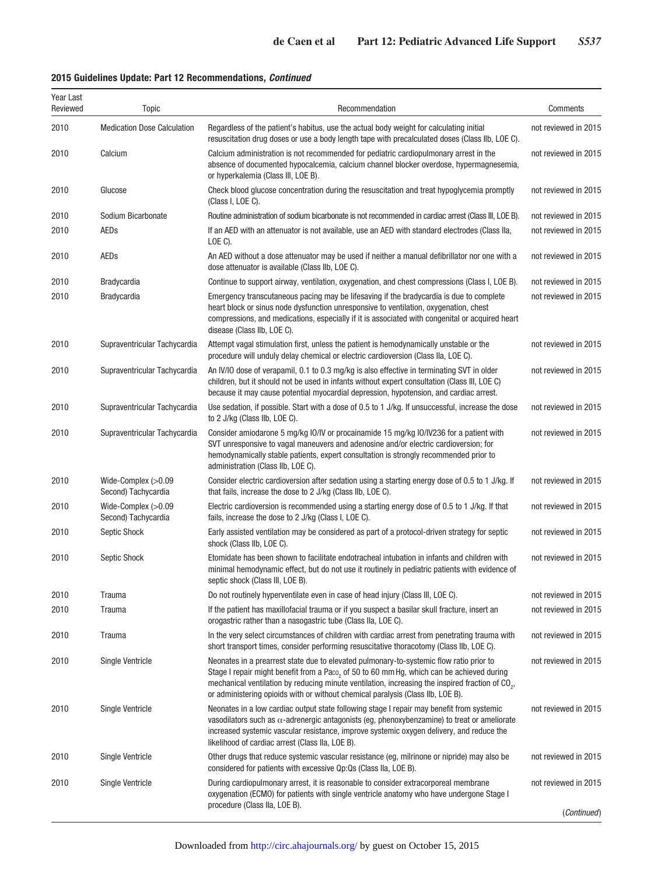## **2015 Guidelines Update: Part 12 Recommendations,** *Continued*

| Year Last<br>Reviewed | Topic                                      | Recommendation                                                                                                                                                                                                                                                                                                                                                                          | Comments             |
|-----------------------|--------------------------------------------|-----------------------------------------------------------------------------------------------------------------------------------------------------------------------------------------------------------------------------------------------------------------------------------------------------------------------------------------------------------------------------------------|----------------------|
| 2010                  | <b>Medication Dose Calculation</b>         | Regardless of the patient's habitus, use the actual body weight for calculating initial<br>resuscitation drug doses or use a body length tape with precalculated doses (Class IIb, LOE C).                                                                                                                                                                                              | not reviewed in 2015 |
| 2010                  | Calcium                                    | Calcium administration is not recommended for pediatric cardiopulmonary arrest in the<br>absence of documented hypocalcemia, calcium channel blocker overdose, hypermagnesemia,<br>or hyperkalemia (Class III, LOE B).                                                                                                                                                                  | not reviewed in 2015 |
| 2010                  | Glucose                                    | Check blood glucose concentration during the resuscitation and treat hypoglycemia promptly<br>(Class I, LOE C).                                                                                                                                                                                                                                                                         | not reviewed in 2015 |
| 2010                  | Sodium Bicarbonate                         | Routine administration of sodium bicarbonate is not recommended in cardiac arrest (Class III, LOE B).                                                                                                                                                                                                                                                                                   | not reviewed in 2015 |
| 2010                  | <b>AEDs</b>                                | If an AED with an attenuator is not available, use an AED with standard electrodes (Class IIa,<br>$LOE C$ ).                                                                                                                                                                                                                                                                            | not reviewed in 2015 |
| 2010                  | AEDs                                       | An AED without a dose attenuator may be used if neither a manual defibrillator nor one with a<br>dose attenuator is available (Class IIb, LOE C).                                                                                                                                                                                                                                       | not reviewed in 2015 |
| 2010                  | <b>Bradycardia</b>                         | Continue to support airway, ventilation, oxygenation, and chest compressions (Class I, LOE B).                                                                                                                                                                                                                                                                                          | not reviewed in 2015 |
| 2010                  | <b>Bradycardia</b>                         | Emergency transcutaneous pacing may be lifesaving if the bradycardia is due to complete<br>heart block or sinus node dysfunction unresponsive to ventilation, oxygenation, chest<br>compressions, and medications, especially if it is associated with congenital or acquired heart<br>disease (Class IIb, LOE C).                                                                      | not reviewed in 2015 |
| 2010                  | Supraventricular Tachycardia               | Attempt vagal stimulation first, unless the patient is hemodynamically unstable or the<br>procedure will unduly delay chemical or electric cardioversion (Class IIa, LOE C).                                                                                                                                                                                                            | not reviewed in 2015 |
| 2010                  | Supraventricular Tachycardia               | An IV/IO dose of verapamil, 0.1 to 0.3 mg/kg is also effective in terminating SVT in older<br>children, but it should not be used in infants without expert consultation (Class III, LOE C)<br>because it may cause potential myocardial depression, hypotension, and cardiac arrest.                                                                                                   | not reviewed in 2015 |
| 2010                  | Supraventricular Tachycardia               | Use sedation, if possible. Start with a dose of 0.5 to 1 J/kg. If unsuccessful, increase the dose<br>to 2 J/kg (Class IIb, LOE C).                                                                                                                                                                                                                                                      | not reviewed in 2015 |
| 2010                  | Supraventricular Tachycardia               | Consider amiodarone 5 mg/kg IO/IV or procainamide 15 mg/kg IO/IV236 for a patient with<br>SVT unresponsive to vagal maneuvers and adenosine and/or electric cardioversion; for<br>hemodynamically stable patients, expert consultation is strongly recommended prior to<br>administration (Class IIb, LOE C).                                                                           | not reviewed in 2015 |
| 2010                  | Wide-Complex (>0.09<br>Second) Tachycardia | Consider electric cardioversion after sedation using a starting energy dose of 0.5 to 1 J/kg. If<br>that fails, increase the dose to 2 J/kg (Class IIb, LOE C).                                                                                                                                                                                                                         | not reviewed in 2015 |
| 2010                  | Wide-Complex (>0.09<br>Second) Tachycardia | Electric cardioversion is recommended using a starting energy dose of 0.5 to 1 J/kg. If that<br>fails, increase the dose to 2 J/kg (Class I, LOE C).                                                                                                                                                                                                                                    | not reviewed in 2015 |
| 2010                  | Septic Shock                               | Early assisted ventilation may be considered as part of a protocol-driven strategy for septic<br>shock (Class IIb, LOE C).                                                                                                                                                                                                                                                              | not reviewed in 2015 |
| 2010                  | Septic Shock                               | Etomidate has been shown to facilitate endotracheal intubation in infants and children with<br>minimal hemodynamic effect, but do not use it routinely in pediatric patients with evidence of<br>septic shock (Class III, LOE B).                                                                                                                                                       | not reviewed in 2015 |
| 2010                  | Trauma                                     | Do not routinely hyperventilate even in case of head injury (Class III, LOE C).                                                                                                                                                                                                                                                                                                         | not reviewed in 2015 |
| 2010                  | Trauma                                     | If the patient has maxillofacial trauma or if you suspect a basilar skull fracture, insert an<br>orogastric rather than a nasogastric tube (Class IIa, LOE C).                                                                                                                                                                                                                          | not reviewed in 2015 |
| 2010                  | Trauma                                     | In the very select circumstances of children with cardiac arrest from penetrating trauma with<br>short transport times, consider performing resuscitative thoracotomy (Class IIb, LOE C).                                                                                                                                                                                               | not reviewed in 2015 |
| 2010                  | Single Ventricle                           | Neonates in a prearrest state due to elevated pulmonary-to-systemic flow ratio prior to<br>Stage I repair might benefit from a Paco, of 50 to 60 mm Hg, which can be achieved during<br>mechanical ventilation by reducing minute ventilation, increasing the inspired fraction of CO <sub>2</sub> ,<br>or administering opioids with or without chemical paralysis (Class IIb, LOE B). | not reviewed in 2015 |
| 2010                  | <b>Single Ventricle</b>                    | Neonates in a low cardiac output state following stage I repair may benefit from systemic<br>vasodilators such as $\alpha$ -adrenergic antagonists (eq. phenoxybenzamine) to treat or ameliorate<br>increased systemic vascular resistance, improve systemic oxygen delivery, and reduce the<br>likelihood of cardiac arrest (Class IIa, LOE B).                                        | not reviewed in 2015 |
| 2010                  | <b>Single Ventricle</b>                    | Other drugs that reduce systemic vascular resistance (eg, milrinone or nipride) may also be<br>considered for patients with excessive Qp:Qs (Class IIa, LOE B).                                                                                                                                                                                                                         | not reviewed in 2015 |
| 2010                  | <b>Single Ventricle</b>                    | During cardiopulmonary arrest, it is reasonable to consider extracorporeal membrane<br>oxygenation (ECMO) for patients with single ventricle anatomy who have undergone Stage I<br>procedure (Class IIa, LOE B).                                                                                                                                                                        | not reviewed in 2015 |
|                       |                                            |                                                                                                                                                                                                                                                                                                                                                                                         | (Continued)          |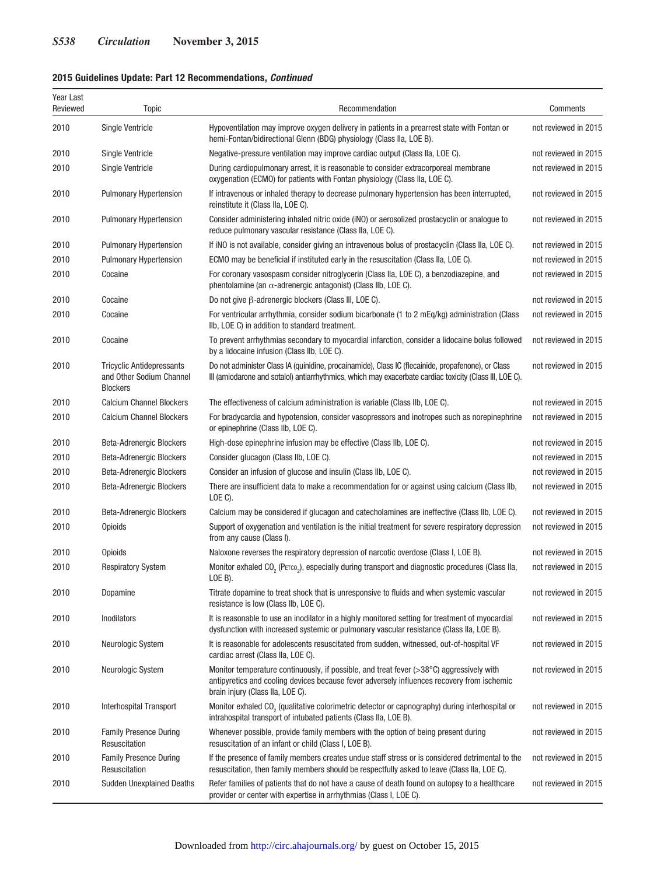## **2015 Guidelines Update: Part 12 Recommendations,** *Continued*

| Year Last<br>Reviewed | Topic                                                                           | Recommendation                                                                                                                                                                                                                      | Comments             |
|-----------------------|---------------------------------------------------------------------------------|-------------------------------------------------------------------------------------------------------------------------------------------------------------------------------------------------------------------------------------|----------------------|
| 2010                  | <b>Single Ventricle</b>                                                         | Hypoventilation may improve oxygen delivery in patients in a prearrest state with Fontan or<br>hemi-Fontan/bidirectional Glenn (BDG) physiology (Class IIa, LOE B).                                                                 | not reviewed in 2015 |
| 2010                  | <b>Single Ventricle</b>                                                         | Negative-pressure ventilation may improve cardiac output (Class IIa, LOE C).                                                                                                                                                        | not reviewed in 2015 |
| 2010                  | <b>Single Ventricle</b>                                                         | During cardiopulmonary arrest, it is reasonable to consider extracorporeal membrane<br>oxygenation (ECMO) for patients with Fontan physiology (Class IIa, LOE C).                                                                   | not reviewed in 2015 |
| 2010                  | <b>Pulmonary Hypertension</b>                                                   | If intravenous or inhaled therapy to decrease pulmonary hypertension has been interrupted,<br>reinstitute it (Class IIa, LOE C).                                                                                                    | not reviewed in 2015 |
| 2010                  | <b>Pulmonary Hypertension</b>                                                   | Consider administering inhaled nitric oxide (iNO) or aerosolized prostacyclin or analogue to<br>reduce pulmonary vascular resistance (Class IIa, LOE C).                                                                            | not reviewed in 2015 |
| 2010                  | <b>Pulmonary Hypertension</b>                                                   | If iNO is not available, consider giving an intravenous bolus of prostacyclin (Class IIa, LOE C).                                                                                                                                   | not reviewed in 2015 |
| 2010                  | <b>Pulmonary Hypertension</b>                                                   | ECMO may be beneficial if instituted early in the resuscitation (Class IIa, LOE C).                                                                                                                                                 | not reviewed in 2015 |
| 2010                  | Cocaine                                                                         | For coronary vasospasm consider nitroglycerin (Class IIa, LOE C), a benzodiazepine, and<br>phentolamine (an $\alpha$ -adrenergic antagonist) (Class IIb, LOE C).                                                                    | not reviewed in 2015 |
| 2010                  | Cocaine                                                                         | Do not give $\beta$ -adrenergic blockers (Class III, LOE C).                                                                                                                                                                        | not reviewed in 2015 |
| 2010                  | Cocaine                                                                         | For ventricular arrhythmia, consider sodium bicarbonate (1 to 2 mEq/kg) administration (Class<br>IIb, LOE C) in addition to standard treatment.                                                                                     | not reviewed in 2015 |
| 2010                  | Cocaine                                                                         | To prevent arrhythmias secondary to myocardial infarction, consider a lidocaine bolus followed<br>by a lidocaine infusion (Class IIb, LOE C).                                                                                       | not reviewed in 2015 |
| 2010                  | <b>Tricyclic Antidepressants</b><br>and Other Sodium Channel<br><b>Blockers</b> | Do not administer Class IA (quinidine, procainamide), Class IC (flecainide, propafenone), or Class<br>III (amiodarone and sotalol) antiarrhythmics, which may exacerbate cardiac toxicity (Class III, LOE C).                       | not reviewed in 2015 |
| 2010                  | <b>Calcium Channel Blockers</b>                                                 | The effectiveness of calcium administration is variable (Class IIb, LOE C).                                                                                                                                                         | not reviewed in 2015 |
| 2010                  | <b>Calcium Channel Blockers</b>                                                 | For bradycardia and hypotension, consider vasopressors and inotropes such as norepinephrine<br>or epinephrine (Class IIb, LOE C).                                                                                                   | not reviewed in 2015 |
| 2010                  | Beta-Adrenergic Blockers                                                        | High-dose epinephrine infusion may be effective (Class IIb, LOE C).                                                                                                                                                                 | not reviewed in 2015 |
| 2010                  | Beta-Adrenergic Blockers                                                        | Consider glucagon (Class IIb, LOE C).                                                                                                                                                                                               | not reviewed in 2015 |
| 2010                  | Beta-Adrenergic Blockers                                                        | Consider an infusion of glucose and insulin (Class IIb, LOE C).                                                                                                                                                                     | not reviewed in 2015 |
| 2010                  | <b>Beta-Adrenergic Blockers</b>                                                 | There are insufficient data to make a recommendation for or against using calcium (Class IIb,<br>LOE C).                                                                                                                            | not reviewed in 2015 |
| 2010                  | Beta-Adrenergic Blockers                                                        | Calcium may be considered if glucagon and catecholamines are ineffective (Class IIb, LOE C).                                                                                                                                        | not reviewed in 2015 |
| 2010                  | Opioids                                                                         | Support of oxygenation and ventilation is the initial treatment for severe respiratory depression<br>from any cause (Class I).                                                                                                      | not reviewed in 2015 |
| 2010                  | Opioids                                                                         | Naloxone reverses the respiratory depression of narcotic overdose (Class I, LOE B).                                                                                                                                                 | not reviewed in 2015 |
| 2010                  | <b>Respiratory System</b>                                                       | Monitor exhaled CO <sub>2</sub> (PETCO <sub>2</sub> ), especially during transport and diagnostic procedures (Class Ila,<br>LOE B).                                                                                                 | not reviewed in 2015 |
| 2010                  | Dopamine                                                                        | Titrate dopamine to treat shock that is unresponsive to fluids and when systemic vascular<br>resistance is low (Class IIb, LOE C).                                                                                                  | not reviewed in 2015 |
| 2010                  | Inodilators                                                                     | It is reasonable to use an inodilator in a highly monitored setting for treatment of myocardial<br>dysfunction with increased systemic or pulmonary vascular resistance (Class IIa, LOE B).                                         | not reviewed in 2015 |
| 2010                  | Neurologic System                                                               | It is reasonable for adolescents resuscitated from sudden, witnessed, out-of-hospital VF<br>cardiac arrest (Class IIa, LOE C).                                                                                                      | not reviewed in 2015 |
| 2010                  | Neurologic System                                                               | Monitor temperature continuously, if possible, and treat fever $(>38^{\circ}C)$ aggressively with<br>antipyretics and cooling devices because fever adversely influences recovery from ischemic<br>brain injury (Class IIa, LOE C). | not reviewed in 2015 |
| 2010                  | Interhospital Transport                                                         | Monitor exhaled CO <sub>2</sub> (qualitative colorimetric detector or capnography) during interhospital or<br>intrahospital transport of intubated patients (Class IIa, LOE B).                                                     | not reviewed in 2015 |
| 2010                  | <b>Family Presence During</b><br>Resuscitation                                  | Whenever possible, provide family members with the option of being present during<br>resuscitation of an infant or child (Class I, LOE B).                                                                                          | not reviewed in 2015 |
| 2010                  | <b>Family Presence During</b><br>Resuscitation                                  | If the presence of family members creates undue staff stress or is considered detrimental to the<br>resuscitation, then family members should be respectfully asked to leave (Class IIa, LOE C).                                    | not reviewed in 2015 |
| 2010                  | <b>Sudden Unexplained Deaths</b>                                                | Refer families of patients that do not have a cause of death found on autopsy to a healthcare<br>provider or center with expertise in arrhythmias (Class I, LOE C).                                                                 | not reviewed in 2015 |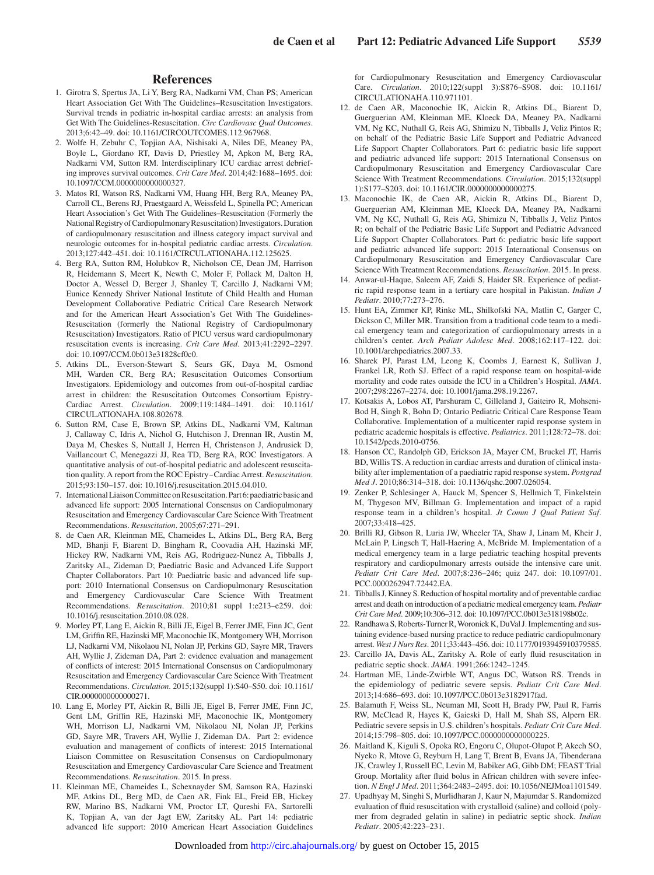#### **References**

- 1. Girotra S, Spertus JA, Li Y, Berg RA, Nadkarni VM, Chan PS; American Heart Association Get With The Guidelines–Resuscitation Investigators. Survival trends in pediatric in-hospital cardiac arrests: an analysis from Get With The Guidelines-Resuscitation. *Circ Cardiovasc Qual Outcomes*. 2013;6:42–49. doi: 10.1161/CIRCOUTCOMES.112.967968.
- 2. Wolfe H, Zebuhr C, Topjian AA, Nishisaki A, Niles DE, Meaney PA, Boyle L, Giordano RT, Davis D, Priestley M, Apkon M, Berg RA, Nadkarni VM, Sutton RM. Interdisciplinary ICU cardiac arrest debriefing improves survival outcomes. *Crit Care Med*. 2014;42:1688–1695. doi: 10.1097/CCM.0000000000000327.
- 3. Matos RI, Watson RS, Nadkarni VM, Huang HH, Berg RA, Meaney PA, Carroll CL, Berens RJ, Praestgaard A, Weissfeld L, Spinella PC; American Heart Association's Get With The Guidelines–Resuscitation (Formerly the National Registry of Cardiopulmonary Resuscitation) Investigators. Duration of cardiopulmonary resuscitation and illness category impact survival and neurologic outcomes for in-hospital pediatric cardiac arrests. *Circulation*. 2013;127:442–451. doi: 10.1161/CIRCULATIONAHA.112.125625.
- 4. Berg RA, Sutton RM, Holubkov R, Nicholson CE, Dean JM, Harrison R, Heidemann S, Meert K, Newth C, Moler F, Pollack M, Dalton H, Doctor A, Wessel D, Berger J, Shanley T, Carcillo J, Nadkarni VM; Eunice Kennedy Shriver National Institute of Child Health and Human Development Collaborative Pediatric Critical Care Research Network and for the American Heart Association's Get With The Guidelines-Resuscitation (formerly the National Registry of Cardiopulmonary Resuscitation) Investigators. Ratio of PICU versus ward cardiopulmonary resuscitation events is increasing. *Crit Care Med*. 2013;41:2292–2297. doi: 10.1097/CCM.0b013e31828cf0c0.
- 5. Atkins DL, Everson-Stewart S, Sears GK, Daya M, Osmond MH, Warden CR, Berg RA; Resuscitation Outcomes Consortium Investigators. Epidemiology and outcomes from out-of-hospital cardiac arrest in children: the Resuscitation Outcomes Consortium Epistry-Cardiac Arrest. *Circulation*. 2009;119:1484–1491. doi: 10.1161/ CIRCULATIONAHA.108.802678.
- 6. Sutton RM, Case E, Brown SP, Atkins DL, Nadkarni VM, Kaltman J, Callaway C, Idris A, Nichol G, Hutchison J, Drennan IR, Austin M, Daya M, Cheskes S, Nuttall J, Herren H, Christenson J, Andrusiek D, Vaillancourt C, Menegazzi JJ, Rea TD, Berg RA, ROC Investigators. A quantitative analysis of out-of-hospital pediatric and adolescent resuscitation quality. A report from the ROC Epistry‒Cardiac Arrest. *Resuscitation*. 2015;93:150–157. doi: 10.1016/j.resuscitation.2015.04.010.
- 7. International Liaison Committee on Resuscitation. Part 6: paediatric basic and advanced life support: 2005 International Consensus on Cardiopulmonary Resuscitation and Emergency Cardiovascular Care Science With Treatment Recommendations. *Resuscitation*. 2005;67:271–291.
- 8. de Caen AR, Kleinman ME, Chameides L, Atkins DL, Berg RA, Berg MD, Bhanji F, Biarent D, Bingham R, Coovadia AH, Hazinski MF, Hickey RW, Nadkarni VM, Reis AG, Rodriguez-Nunez A, Tibballs J, Zaritsky AL, Zideman D; Paediatric Basic and Advanced Life Support Chapter Collaborators. Part 10: Paediatric basic and advanced life support: 2010 International Consensus on Cardiopulmonary Resuscitation and Emergency Cardiovascular Care Science With Treatment Recommendations. *Resuscitation*. 2010;81 suppl 1:e213–e259. doi: 10.1016/j.resuscitation.2010.08.028.
- 9. Morley PT, Lang E, Aickin R, Billi JE, Eigel B, Ferrer JME, Finn JC, Gent LM, Griffin RE, Hazinski MF, Maconochie IK, Montgomery WH, Morrison LJ, Nadkarni VM, Nikolaou NI, Nolan JP, Perkins GD, Sayre MR, Travers AH, Wyllie J, Zideman DA, Part 2: evidence evaluation and management of conflicts of interest: 2015 International Consensus on Cardiopulmonary Resuscitation and Emergency Cardiovascular Care Science With Treatment Recommendations. *Circulation*. 2015;132(suppl 1):S40–S50. doi: 10.1161/ CIR.0000000000000271.
- 10. Lang E, Morley PT, Aickin R, Billi JE, Eigel B, Ferrer JME, Finn JC, Gent LM, Griffin RE, Hazinski MF, Maconochie IK, Montgomery WH, Morrison LJ, Nadkarni VM, Nikolaou NI, Nolan JP, Perkins GD, Sayre MR, Travers AH, Wyllie J, Zideman DA. Part 2: evidence evaluation and management of conflicts of interest: 2015 International Liaison Committee on Resuscitation Consensus on Cardiopulmonary Resuscitation and Emergency Cardiovascular Care Science and Treatment Recommendations. *Resuscitation*. 2015. In press.
- 11. Kleinman ME, Chameides L, Schexnayder SM, Samson RA, Hazinski MF, Atkins DL, Berg MD, de Caen AR, Fink EL, Freid EB, Hickey RW, Marino BS, Nadkarni VM, Proctor LT, Qureshi FA, Sartorelli K, Topjian A, van der Jagt EW, Zaritsky AL. Part 14: pediatric advanced life support: 2010 American Heart Association Guidelines

for Cardiopulmonary Resuscitation and Emergency Cardiovascular Care. *Circulation*. 2010;122(suppl 3):S876–S908. doi: 10.1161/ CIRCULATIONAHA.110.971101.

- 12. de Caen AR, Maconochie IK, Aickin R, Atkins DL, Biarent D, Guerguerian AM, Kleinman ME, Kloeck DA, Meaney PA, Nadkarni VM, Ng KC, Nuthall G, Reis AG, Shimizu N, Tibballs J, Veliz Pintos R; on behalf of the Pediatric Basic Life Support and Pediatric Advanced Life Support Chapter Collaborators. Part 6: pediatric basic life support and pediatric advanced life support: 2015 International Consensus on Cardiopulmonary Resuscitation and Emergency Cardiovascular Care Science With Treatment Recommendations. *Circulation*. 2015;132(suppl 1):S177–S203. doi: 10.1161/CIR.0000000000000275.
- 13. Maconochie IK, de Caen AR, Aickin R, Atkins DL, Biarent D, Guerguerian AM, Kleinman ME, Kloeck DA, Meaney PA, Nadkarni VM, Ng KC, Nuthall G, Reis AG, Shimizu N, Tibballs J, Veliz Pintos R; on behalf of the Pediatric Basic Life Support and Pediatric Advanced Life Support Chapter Collaborators. Part 6: pediatric basic life support and pediatric advanced life support: 2015 International Consensus on Cardiopulmonary Resuscitation and Emergency Cardiovascular Care Science With Treatment Recommendations. *Resuscitation*. 2015. In press.
- 14. Anwar-ul-Haque, Saleem AF, Zaidi S, Haider SR. Experience of pediatric rapid response team in a tertiary care hospital in Pakistan. *Indian J Pediatr*. 2010;77:273–276.
- 15. Hunt EA, Zimmer KP, Rinke ML, Shilkofski NA, Matlin C, Garger C, Dickson C, Miller MR. Transition from a traditional code team to a medical emergency team and categorization of cardiopulmonary arrests in a children's center. *Arch Pediatr Adolesc Med*. 2008;162:117–122. doi: 10.1001/archpediatrics.2007.33.
- 16. Sharek PJ, Parast LM, Leong K, Coombs J, Earnest K, Sullivan J, Frankel LR, Roth SJ. Effect of a rapid response team on hospital-wide mortality and code rates outside the ICU in a Children's Hospital. *JAMA*. 2007;298:2267–2274. doi: 10.1001/jama.298.19.2267.
- 17. Kotsakis A, Lobos AT, Parshuram C, Gilleland J, Gaiteiro R, Mohseni-Bod H, Singh R, Bohn D; Ontario Pediatric Critical Care Response Team Collaborative. Implementation of a multicenter rapid response system in pediatric academic hospitals is effective. *Pediatrics*. 2011;128:72–78. doi: 10.1542/peds.2010-0756.
- 18. Hanson CC, Randolph GD, Erickson JA, Mayer CM, Bruckel JT, Harris BD, Willis TS. A reduction in cardiac arrests and duration of clinical instability after implementation of a paediatric rapid response system. *Postgrad Med J*. 2010;86:314–318. doi: 10.1136/qshc.2007.026054.
- 19. Zenker P, Schlesinger A, Hauck M, Spencer S, Hellmich T, Finkelstein M, Thygeson MV, Billman G. Implementation and impact of a rapid response team in a children's hospital. *Jt Comm J Qual Patient Saf*. 2007;33:418–425.
- 20. Brilli RJ, Gibson R, Luria JW, Wheeler TA, Shaw J, Linam M, Kheir J, McLain P, Lingsch T, Hall-Haering A, McBride M. Implementation of a medical emergency team in a large pediatric teaching hospital prevents respiratory and cardiopulmonary arrests outside the intensive care unit. *Pediatr Crit Care Med*. 2007;8:236–246; quiz 247. doi: 10.1097/01. PCC.0000262947.72442.EA.
- 21. Tibballs J, Kinney S. Reduction of hospital mortality and of preventable cardiac arrest and death on introduction of a pediatric medical emergency team. *Pediatr Crit Care Med*. 2009;10:306–312. doi: 10.1097/PCC.0b013e318198b02c.
- 22. Randhawa S, Roberts-Turner R, Woronick K, DuVal J. Implementing and sustaining evidence-based nursing practice to reduce pediatric cardiopulmonary arrest. *West J Nurs Res*. 2011;33:443–456. doi: 10.1177/0193945910379585.
- 23. Carcillo JA, Davis AL, Zaritsky A. Role of early fluid resuscitation in pediatric septic shock. *JAMA*. 1991;266:1242–1245.
- 24. Hartman ME, Linde-Zwirble WT, Angus DC, Watson RS. Trends in the epidemiology of pediatric severe sepsis. *Pediatr Crit Care Med*. 2013;14:686–693. doi: 10.1097/PCC.0b013e3182917fad.
- 25. Balamuth F, Weiss SL, Neuman MI, Scott H, Brady PW, Paul R, Farris RW, McClead R, Hayes K, Gaieski D, Hall M, Shah SS, Alpern ER. Pediatric severe sepsis in U.S. children's hospitals. *Pediatr Crit Care Med*. 2014;15:798–805. doi: 10.1097/PCC.0000000000000225.
- 26. Maitland K, Kiguli S, Opoka RO, Engoru C, Olupot-Olupot P, Akech SO, Nyeko R, Mtove G, Reyburn H, Lang T, Brent B, Evans JA, Tibenderana JK, Crawley J, Russell EC, Levin M, Babiker AG, Gibb DM; FEAST Trial Group. Mortality after fluid bolus in African children with severe infection. *N Engl J Med*. 2011;364:2483–2495. doi: 10.1056/NEJMoa1101549.
- 27. Upadhyay M, Singhi S, Murlidharan J, Kaur N, Majumdar S. Randomized evaluation of fluid resuscitation with crystalloid (saline) and colloid (polymer from degraded gelatin in saline) in pediatric septic shock. *Indian Pediatr*. 2005;42:223–231.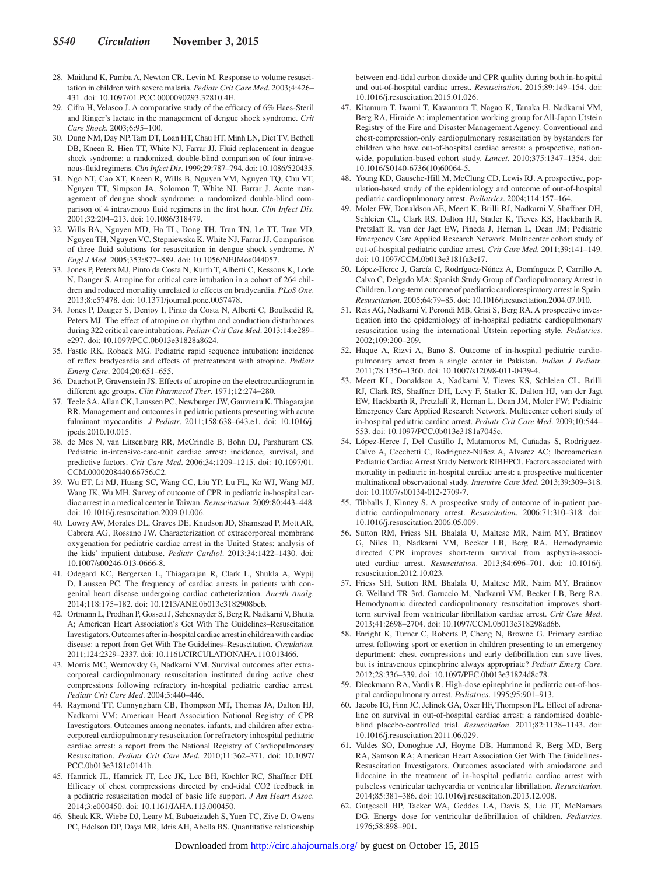- 28. Maitland K, Pamba A, Newton CR, Levin M. Response to volume resuscitation in children with severe malaria. *Pediatr Crit Care Med*. 2003;4:426– 431. doi: 10.1097/01.PCC.0000090293.32810.4E.
- 29. Cifra H, Velasco J. A comparative study of the efficacy of 6% Haes-Steril and Ringer's lactate in the management of dengue shock syndrome. *Crit Care Shock*. 2003;6:95–100.
- 30. Dung NM, Day NP, Tam DT, Loan HT, Chau HT, Minh LN, Diet TV, Bethell DB, Kneen R, Hien TT, White NJ, Farrar JJ. Fluid replacement in dengue shock syndrome: a randomized, double-blind comparison of four intravenous-fluid regimens. *Clin Infect Dis*. 1999;29:787–794. doi: 10.1086/520435.
- 31. Ngo NT, Cao XT, Kneen R, Wills B, Nguyen VM, Nguyen TQ, Chu VT, Nguyen TT, Simpson JA, Solomon T, White NJ, Farrar J. Acute management of dengue shock syndrome: a randomized double-blind comparison of 4 intravenous fluid regimens in the first hour. *Clin Infect Dis*. 2001;32:204–213. doi: 10.1086/318479.
- 32. Wills BA, Nguyen MD, Ha TL, Dong TH, Tran TN, Le TT, Tran VD, Nguyen TH, Nguyen VC, Stepniewska K, White NJ, Farrar JJ. Comparison of three fluid solutions for resuscitation in dengue shock syndrome. *N Engl J Med*. 2005;353:877–889. doi: 10.1056/NEJMoa044057.
- 33. Jones P, Peters MJ, Pinto da Costa N, Kurth T, Alberti C, Kessous K, Lode N, Dauger S. Atropine for critical care intubation in a cohort of 264 children and reduced mortality unrelated to effects on bradycardia. *PLoS One*. 2013;8:e57478. doi: 10.1371/journal.pone.0057478.
- 34. Jones P, Dauger S, Denjoy I, Pinto da Costa N, Alberti C, Boulkedid R, Peters MJ. The effect of atropine on rhythm and conduction disturbances during 322 critical care intubations. *Pediatr Crit Care Med*. 2013;14:e289– e297. doi: 10.1097/PCC.0b013e31828a8624.
- 35. Fastle RK, Roback MG. Pediatric rapid sequence intubation: incidence of reflex bradycardia and effects of pretreatment with atropine. *Pediatr Emerg Care*. 2004;20:651–655.
- 36. Dauchot P, Gravenstein JS. Effects of atropine on the electrocardiogram in different age groups. *Clin Pharmacol Ther*. 1971;12:274–280.
- 37. Teele SA, Allan CK, Laussen PC, Newburger JW, Gauvreau K, Thiagarajan RR. Management and outcomes in pediatric patients presenting with acute fulminant myocarditis. *J Pediatr*. 2011;158:638–643.e1. doi: 10.1016/j. jpeds.2010.10.015.
- 38. de Mos N, van Litsenburg RR, McCrindle B, Bohn DJ, Parshuram CS. Pediatric in-intensive-care-unit cardiac arrest: incidence, survival, and predictive factors. *Crit Care Med*. 2006;34:1209–1215. doi: 10.1097/01. CCM.0000208440.66756.C2.
- 39. Wu ET, Li MJ, Huang SC, Wang CC, Liu YP, Lu FL, Ko WJ, Wang MJ, Wang JK, Wu MH. Survey of outcome of CPR in pediatric in-hospital cardiac arrest in a medical center in Taiwan. *Resuscitation*. 2009;80:443–448. doi: 10.1016/j.resuscitation.2009.01.006.
- 40. Lowry AW, Morales DL, Graves DE, Knudson JD, Shamszad P, Mott AR, Cabrera AG, Rossano JW. Characterization of extracorporeal membrane oxygenation for pediatric cardiac arrest in the United States: analysis of the kids' inpatient database. *Pediatr Cardiol*. 2013;34:1422–1430. doi: 10.1007/s00246-013-0666-8.
- 41. Odegard KC, Bergersen L, Thiagarajan R, Clark L, Shukla A, Wypij D, Laussen PC. The frequency of cardiac arrests in patients with congenital heart disease undergoing cardiac catheterization. *Anesth Analg*. 2014;118:175–182. doi: 10.1213/ANE.0b013e3182908bcb.
- 42. Ortmann L, Prodhan P, Gossett J, Schexnayder S, Berg R, Nadkarni V, Bhutta A; American Heart Association's Get With The Guidelines–Resuscitation Investigators. Outcomes after in-hospital cardiac arrest in children with cardiac disease: a report from Get With The Guidelines–Resuscitation. *Circulation*. 2011;124:2329–2337. doi: 10.1161/CIRCULATIONAHA.110.013466.
- 43. Morris MC, Wernovsky G, Nadkarni VM. Survival outcomes after extracorporeal cardiopulmonary resuscitation instituted during active chest compressions following refractory in-hospital pediatric cardiac arrest. *Pediatr Crit Care Med*. 2004;5:440–446.
- 44. Raymond TT, Cunnyngham CB, Thompson MT, Thomas JA, Dalton HJ, Nadkarni VM; American Heart Association National Registry of CPR Investigators. Outcomes among neonates, infants, and children after extracorporeal cardiopulmonary resuscitation for refractory inhospital pediatric cardiac arrest: a report from the National Registry of Cardiopulmonary Resuscitation. *Pediatr Crit Care Med*. 2010;11:362–371. doi: 10.1097/ PCC.0b013e3181c0141b.
- 45. Hamrick JL, Hamrick JT, Lee JK, Lee BH, Koehler RC, Shaffner DH. Efficacy of chest compressions directed by end-tidal CO2 feedback in a pediatric resuscitation model of basic life support. *J Am Heart Assoc*. 2014;3:e000450. doi: 10.1161/JAHA.113.000450.
- 46. Sheak KR, Wiebe DJ, Leary M, Babaeizadeh S, Yuen TC, Zive D, Owens PC, Edelson DP, Daya MR, Idris AH, Abella BS. Quantitative relationship

between end-tidal carbon dioxide and CPR quality during both in-hospital and out-of-hospital cardiac arrest. *Resuscitation*. 2015;89:149–154. doi: 10.1016/j.resuscitation.2015.01.026.

- 47. Kitamura T, Iwami T, Kawamura T, Nagao K, Tanaka H, Nadkarni VM, Berg RA, Hiraide A; implementation working group for All-Japan Utstein Registry of the Fire and Disaster Management Agency. Conventional and chest-compression-only cardiopulmonary resuscitation by bystanders for children who have out-of-hospital cardiac arrests: a prospective, nationwide, population-based cohort study. *Lancet*. 2010;375:1347–1354. doi: 10.1016/S0140-6736(10)60064-5.
- 48. Young KD, Gausche-Hill M, McClung CD, Lewis RJ. A prospective, population-based study of the epidemiology and outcome of out-of-hospital pediatric cardiopulmonary arrest. *Pediatrics*. 2004;114:157–164.
- 49. Moler FW, Donaldson AE, Meert K, Brilli RJ, Nadkarni V, Shaffner DH, Schleien CL, Clark RS, Dalton HJ, Statler K, Tieves KS, Hackbarth R, Pretzlaff R, van der Jagt EW, Pineda J, Hernan L, Dean JM; Pediatric Emergency Care Applied Research Network. Multicenter cohort study of out-of-hospital pediatric cardiac arrest. *Crit Care Med*. 2011;39:141–149. doi: 10.1097/CCM.0b013e3181fa3c17.
- 50. López-Herce J, García C, Rodríguez-Núñez A, Domínguez P, Carrillo A, Calvo C, Delgado MA; Spanish Study Group of Cardiopulmonary Arrest in Children. Long-term outcome of paediatric cardiorespiratory arrest in Spain. *Resuscitation*. 2005;64:79–85. doi: 10.1016/j.resuscitation.2004.07.010.
- 51. Reis AG, Nadkarni V, Perondi MB, Grisi S, Berg RA. A prospective investigation into the epidemiology of in-hospital pediatric cardiopulmonary resuscitation using the international Utstein reporting style. *Pediatrics*. 2002;109:200–209.
- 52. Haque A, Rizvi A, Bano S. Outcome of in-hospital pediatric cardiopulmonary arrest from a single center in Pakistan. *Indian J Pediatr*. 2011;78:1356–1360. doi: 10.1007/s12098-011-0439-4.
- 53. Meert KL, Donaldson A, Nadkarni V, Tieves KS, Schleien CL, Brilli RJ, Clark RS, Shaffner DH, Levy F, Statler K, Dalton HJ, van der Jagt EW, Hackbarth R, Pretzlaff R, Hernan L, Dean JM, Moler FW; Pediatric Emergency Care Applied Research Network. Multicenter cohort study of in-hospital pediatric cardiac arrest. *Pediatr Crit Care Med*. 2009;10:544– 553. doi: 10.1097/PCC.0b013e3181a7045c.
- 54. López-Herce J, Del Castillo J, Matamoros M, Cañadas S, Rodriguez-Calvo A, Cecchetti C, Rodriguez-Núñez A, Alvarez AC; Iberoamerican Pediatric Cardiac Arrest Study Network RIBEPCI. Factors associated with mortality in pediatric in-hospital cardiac arrest: a prospective multicenter multinational observational study. *Intensive Care Med*. 2013;39:309–318. doi: 10.1007/s00134-012-2709-7.
- 55. Tibballs J, Kinney S. A prospective study of outcome of in-patient paediatric cardiopulmonary arrest. *Resuscitation*. 2006;71:310–318. doi: 10.1016/j.resuscitation.2006.05.009.
- 56. Sutton RM, Friess SH, Bhalala U, Maltese MR, Naim MY, Bratinov G, Niles D, Nadkarni VM, Becker LB, Berg RA. Hemodynamic directed CPR improves short-term survival from asphyxia-associated cardiac arrest. *Resuscitation*. 2013;84:696–701. doi: 10.1016/j. resuscitation.2012.10.023.
- 57. Friess SH, Sutton RM, Bhalala U, Maltese MR, Naim MY, Bratinov G, Weiland TR 3rd, Garuccio M, Nadkarni VM, Becker LB, Berg RA. Hemodynamic directed cardiopulmonary resuscitation improves shortterm survival from ventricular fibrillation cardiac arrest. *Crit Care Med*. 2013;41:2698–2704. doi: 10.1097/CCM.0b013e318298ad6b.
- 58. Enright K, Turner C, Roberts P, Cheng N, Browne G. Primary cardiac arrest following sport or exertion in children presenting to an emergency department: chest compressions and early defibrillation can save lives, but is intravenous epinephrine always appropriate? *Pediatr Emerg Care*. 2012;28:336–339. doi: 10.1097/PEC.0b013e31824d8c78.
- 59. Dieckmann RA, Vardis R. High-dose epinephrine in pediatric out-of-hospital cardiopulmonary arrest. *Pediatrics*. 1995;95:901–913.
- 60. Jacobs IG, Finn JC, Jelinek GA, Oxer HF, Thompson PL. Effect of adrenaline on survival in out-of-hospital cardiac arrest: a randomised doubleblind placebo-controlled trial. *Resuscitation*. 2011;82:1138–1143. doi: 10.1016/j.resuscitation.2011.06.029.
- 61. Valdes SO, Donoghue AJ, Hoyme DB, Hammond R, Berg MD, Berg RA, Samson RA; American Heart Association Get With The Guidelines-Resuscitation Investigators. Outcomes associated with amiodarone and lidocaine in the treatment of in-hospital pediatric cardiac arrest with pulseless ventricular tachycardia or ventricular fibrillation. *Resuscitation*. 2014;85:381–386. doi: 10.1016/j.resuscitation.2013.12.008.
- 62. Gutgesell HP, Tacker WA, Geddes LA, Davis S, Lie JT, McNamara DG. Energy dose for ventricular defibrillation of children. *Pediatrics*. 1976;58:898–901.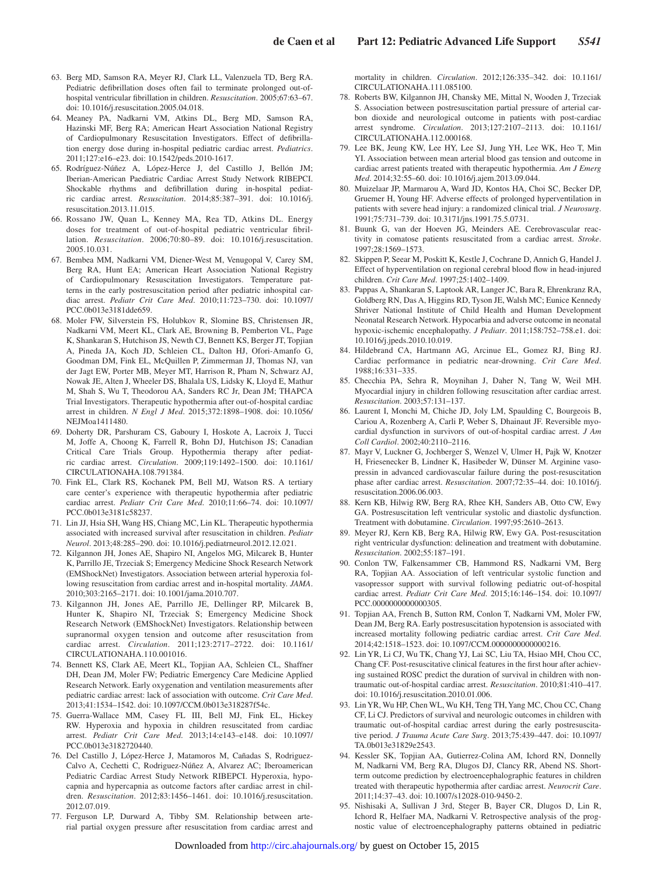- 63. Berg MD, Samson RA, Meyer RJ, Clark LL, Valenzuela TD, Berg RA. Pediatric defibrillation doses often fail to terminate prolonged out-ofhospital ventricular fibrillation in children. *Resuscitation*. 2005;67:63–67. doi: 10.1016/j.resuscitation.2005.04.018.
- 64. Meaney PA, Nadkarni VM, Atkins DL, Berg MD, Samson RA, Hazinski MF, Berg RA; American Heart Association National Registry of Cardiopulmonary Resuscitation Investigators. Effect of defibrillation energy dose during in-hospital pediatric cardiac arrest. *Pediatrics*. 2011;127:e16–e23. doi: 10.1542/peds.2010-1617.
- 65. Rodríguez-Núñez A, López-Herce J, del Castillo J, Bellón JM; Iberian-American Paediatric Cardiac Arrest Study Network RIBEPCI. Shockable rhythms and defibrillation during in-hospital pediatric cardiac arrest. *Resuscitation*. 2014;85:387–391. doi: 10.1016/j. resuscitation.2013.11.015.
- 66. Rossano JW, Quan L, Kenney MA, Rea TD, Atkins DL. Energy doses for treatment of out-of-hospital pediatric ventricular fibrillation. *Resuscitation*. 2006;70:80–89. doi: 10.1016/j.resuscitation. 2005.10.031.
- 67. Bembea MM, Nadkarni VM, Diener-West M, Venugopal V, Carey SM, Berg RA, Hunt EA; American Heart Association National Registry of Cardiopulmonary Resuscitation Investigators. Temperature patterns in the early postresuscitation period after pediatric inhospital cardiac arrest. *Pediatr Crit Care Med*. 2010;11:723–730. doi: 10.1097/ PCC.0b013e3181dde659.
- 68. Moler FW, Silverstein FS, Holubkov R, Slomine BS, Christensen JR, Nadkarni VM, Meert KL, Clark AE, Browning B, Pemberton VL, Page K, Shankaran S, Hutchison JS, Newth CJ, Bennett KS, Berger JT, Topjian A, Pineda JA, Koch JD, Schleien CL, Dalton HJ, Ofori-Amanfo G, Goodman DM, Fink EL, McQuillen P, Zimmerman JJ, Thomas NJ, van der Jagt EW, Porter MB, Meyer MT, Harrison R, Pham N, Schwarz AJ, Nowak JE, Alten J, Wheeler DS, Bhalala US, Lidsky K, Lloyd E, Mathur M, Shah S, Wu T, Theodorou AA, Sanders RC Jr, Dean JM; THAPCA Trial Investigators. Therapeutic hypothermia after out-of-hospital cardiac arrest in children. *N Engl J Med*. 2015;372:1898–1908. doi: 10.1056/ NEJMoa1411480.
- 69. Doherty DR, Parshuram CS, Gaboury I, Hoskote A, Lacroix J, Tucci M, Joffe A, Choong K, Farrell R, Bohn DJ, Hutchison JS; Canadian Critical Care Trials Group. Hypothermia therapy after pediatric cardiac arrest. *Circulation*. 2009;119:1492–1500. doi: 10.1161/ CIRCULATIONAHA.108.791384.
- 70. Fink EL, Clark RS, Kochanek PM, Bell MJ, Watson RS. A tertiary care center's experience with therapeutic hypothermia after pediatric cardiac arrest. *Pediatr Crit Care Med*. 2010;11:66–74. doi: 10.1097/ PCC.0b013e3181c58237.
- 71. Lin JJ, Hsia SH, Wang HS, Chiang MC, Lin KL. Therapeutic hypothermia associated with increased survival after resuscitation in children. *Pediatr Neurol*. 2013;48:285–290. doi: 10.1016/j.pediatrneurol.2012.12.021.
- 72. Kilgannon JH, Jones AE, Shapiro NI, Angelos MG, Milcarek B, Hunter K, Parrillo JE, Trzeciak S; Emergency Medicine Shock Research Network (EMShockNet) Investigators. Association between arterial hyperoxia following resuscitation from cardiac arrest and in-hospital mortality. *JAMA*. 2010;303:2165–2171. doi: 10.1001/jama.2010.707.
- 73. Kilgannon JH, Jones AE, Parrillo JE, Dellinger RP, Milcarek B, Hunter K, Shapiro NI, Trzeciak S; Emergency Medicine Shock Research Network (EMShockNet) Investigators. Relationship between supranormal oxygen tension and outcome after resuscitation from cardiac arrest. *Circulation*. 2011;123:2717–2722. doi: 10.1161/ CIRCULATIONAHA.110.001016.
- 74. Bennett KS, Clark AE, Meert KL, Topjian AA, Schleien CL, Shaffner DH, Dean JM, Moler FW; Pediatric Emergency Care Medicine Applied Research Network. Early oxygenation and ventilation measurements after pediatric cardiac arrest: lack of association with outcome. *Crit Care Med*. 2013;41:1534–1542. doi: 10.1097/CCM.0b013e318287f54c.
- 75. Guerra-Wallace MM, Casey FL III, Bell MJ, Fink EL, Hickey RW. Hyperoxia and hypoxia in children resuscitated from cardiac arrest. *Pediatr Crit Care Med*. 2013;14:e143–e148. doi: 10.1097/ PCC.0b013e3182720440.
- 76. Del Castillo J, López-Herce J, Matamoros M, Cañadas S, Rodriguez-Calvo A, Cechetti C, Rodriguez-Núñez A, Alvarez AC; Iberoamerican Pediatric Cardiac Arrest Study Network RIBEPCI. Hyperoxia, hypocapnia and hypercapnia as outcome factors after cardiac arrest in children. *Resuscitation*. 2012;83:1456–1461. doi: 10.1016/j.resuscitation. 2012.07.019.
- 77. Ferguson LP, Durward A, Tibby SM. Relationship between arterial partial oxygen pressure after resuscitation from cardiac arrest and

mortality in children. *Circulation*. 2012;126:335–342. doi: 10.1161/ CIRCULATIONAHA.111.085100.

- 78. Roberts BW, Kilgannon JH, Chansky ME, Mittal N, Wooden J, Trzeciak S. Association between postresuscitation partial pressure of arterial carbon dioxide and neurological outcome in patients with post-cardiac arrest syndrome. *Circulation*. 2013;127:2107–2113. doi: 10.1161/ CIRCULATIONAHA.112.000168.
- 79. Lee BK, Jeung KW, Lee HY, Lee SJ, Jung YH, Lee WK, Heo T, Min YI. Association between mean arterial blood gas tension and outcome in cardiac arrest patients treated with therapeutic hypothermia. *Am J Emerg Med*. 2014;32:55–60. doi: 10.1016/j.ajem.2013.09.044.
- 80. Muizelaar JP, Marmarou A, Ward JD, Kontos HA, Choi SC, Becker DP, Gruemer H, Young HF. Adverse effects of prolonged hyperventilation in patients with severe head injury: a randomized clinical trial. *J Neurosurg*. 1991;75:731–739. doi: 10.3171/jns.1991.75.5.0731.
- 81. Buunk G, van der Hoeven JG, Meinders AE. Cerebrovascular reactivity in comatose patients resuscitated from a cardiac arrest. *Stroke*. 1997;28:1569–1573.
- 82. Skippen P, Seear M, Poskitt K, Kestle J, Cochrane D, Annich G, Handel J. Effect of hyperventilation on regional cerebral blood flow in head-injured children. *Crit Care Med*. 1997;25:1402–1409.
- 83. Pappas A, Shankaran S, Laptook AR, Langer JC, Bara R, Ehrenkranz RA, Goldberg RN, Das A, Higgins RD, Tyson JE, Walsh MC; Eunice Kennedy Shriver National Institute of Child Health and Human Development Neonatal Research Network. Hypocarbia and adverse outcome in neonatal hypoxic-ischemic encephalopathy. *J Pediatr*. 2011;158:752–758.e1. doi: 10.1016/j.jpeds.2010.10.019.
- 84. Hildebrand CA, Hartmann AG, Arcinue EL, Gomez RJ, Bing RJ. Cardiac performance in pediatric near-drowning. *Crit Care Med*. 1988;16:331–335.
- 85. Checchia PA, Sehra R, Moynihan J, Daher N, Tang W, Weil MH. Myocardial injury in children following resuscitation after cardiac arrest. *Resuscitation*. 2003;57:131–137.
- 86. Laurent I, Monchi M, Chiche JD, Joly LM, Spaulding C, Bourgeois B, Cariou A, Rozenberg A, Carli P, Weber S, Dhainaut JF. Reversible myocardial dysfunction in survivors of out-of-hospital cardiac arrest. *J Am Coll Cardiol*. 2002;40:2110–2116.
- 87. Mayr V, Luckner G, Jochberger S, Wenzel V, Ulmer H, Pajk W, Knotzer H, Friesenecker B, Lindner K, Hasibeder W, Dünser M. Arginine vasopressin in advanced cardiovascular failure during the post-resuscitation phase after cardiac arrest. *Resuscitation*. 2007;72:35–44. doi: 10.1016/j. resuscitation.2006.06.003.
- 88. Kern KB, Hilwig RW, Berg RA, Rhee KH, Sanders AB, Otto CW, Ewy GA. Postresuscitation left ventricular systolic and diastolic dysfunction. Treatment with dobutamine. *Circulation*. 1997;95:2610–2613.
- 89. Meyer RJ, Kern KB, Berg RA, Hilwig RW, Ewy GA. Post-resuscitation right ventricular dysfunction: delineation and treatment with dobutamine. *Resuscitation*. 2002;55:187–191.
- 90. Conlon TW, Falkensammer CB, Hammond RS, Nadkarni VM, Berg RA, Topjian AA. Association of left ventricular systolic function and vasopressor support with survival following pediatric out-of-hospital cardiac arrest. *Pediatr Crit Care Med*. 2015;16:146–154. doi: 10.1097/ PCC.0000000000000305.
- 91. Topjian AA, French B, Sutton RM, Conlon T, Nadkarni VM, Moler FW, Dean JM, Berg RA. Early postresuscitation hypotension is associated with increased mortality following pediatric cardiac arrest. *Crit Care Med*. 2014;42:1518–1523. doi: 10.1097/CCM.0000000000000216.
- 92. Lin YR, Li CJ, Wu TK, Chang YJ, Lai SC, Liu TA, Hsiao MH, Chou CC, Chang CF. Post-resuscitative clinical features in the first hour after achieving sustained ROSC predict the duration of survival in children with nontraumatic out-of-hospital cardiac arrest. *Resuscitation*. 2010;81:410–417. doi: 10.1016/j.resuscitation.2010.01.006.
- 93. Lin YR, Wu HP, Chen WL, Wu KH, Teng TH, Yang MC, Chou CC, Chang CF, Li CJ. Predictors of survival and neurologic outcomes in children with traumatic out-of-hospital cardiac arrest during the early postresuscitative period. *J Trauma Acute Care Surg*. 2013;75:439–447. doi: 10.1097/ TA.0b013e31829e2543.
- 94. Kessler SK, Topjian AA, Gutierrez-Colina AM, Ichord RN, Donnelly M, Nadkarni VM, Berg RA, Dlugos DJ, Clancy RR, Abend NS. Shortterm outcome prediction by electroencephalographic features in children treated with therapeutic hypothermia after cardiac arrest. *Neurocrit Care*. 2011;14:37–43. doi: 10.1007/s12028-010-9450-2.
- 95. Nishisaki A, Sullivan J 3rd, Steger B, Bayer CR, Dlugos D, Lin R, Ichord R, Helfaer MA, Nadkarni V. Retrospective analysis of the prognostic value of electroencephalography patterns obtained in pediatric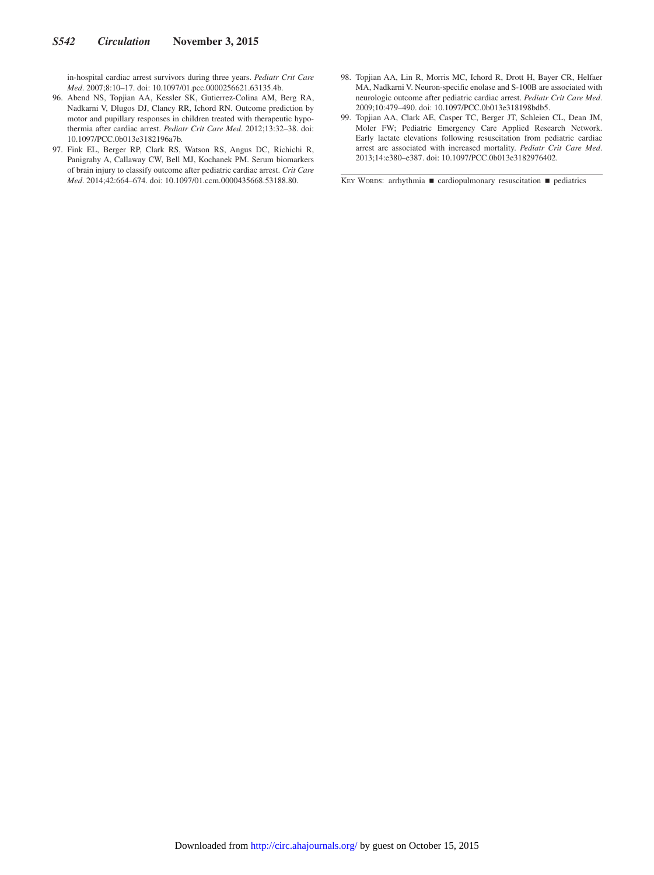in-hospital cardiac arrest survivors during three years. *Pediatr Crit Care Med*. 2007;8:10–17. doi: 10.1097/01.pcc.0000256621.63135.4b.

- 96. Abend NS, Topjian AA, Kessler SK, Gutierrez-Colina AM, Berg RA, Nadkarni V, Dlugos DJ, Clancy RR, Ichord RN. Outcome prediction by motor and pupillary responses in children treated with therapeutic hypothermia after cardiac arrest. *Pediatr Crit Care Med*. 2012;13:32–38. doi: 10.1097/PCC.0b013e3182196a7b.
- 97. Fink EL, Berger RP, Clark RS, Watson RS, Angus DC, Richichi R, Panigrahy A, Callaway CW, Bell MJ, Kochanek PM. Serum biomarkers of brain injury to classify outcome after pediatric cardiac arrest. *Crit Care Med*. 2014;42:664–674. doi: 10.1097/01.ccm.0000435668.53188.80.
- 98. Topjian AA, Lin R, Morris MC, Ichord R, Drott H, Bayer CR, Helfaer MA, Nadkarni V. Neuron-specific enolase and S-100B are associated with neurologic outcome after pediatric cardiac arrest. *Pediatr Crit Care Med*. 2009;10:479–490. doi: 10.1097/PCC.0b013e318198bdb5.
- 99. Topjian AA, Clark AE, Casper TC, Berger JT, Schleien CL, Dean JM, Moler FW; Pediatric Emergency Care Applied Research Network. Early lactate elevations following resuscitation from pediatric cardiac arrest are associated with increased mortality. *Pediatr Crit Care Med*. 2013;14:e380–e387. doi: 10.1097/PCC.0b013e3182976402.

KEY WORDS: arrhythmia ■ cardiopulmonary resuscitation ■ pediatrics